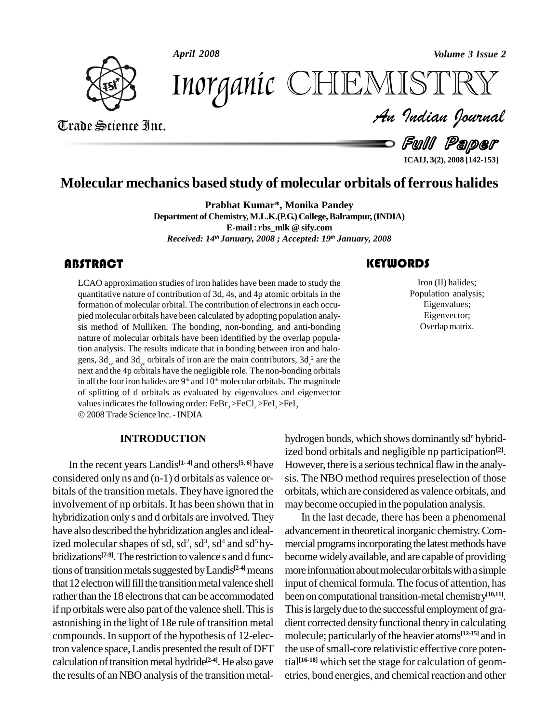*April 2008 Volume 3 Issue 2*



*Volume 3 Issue 2*<br>ISTRY<br>Indian Iournal Inorganic CHEMISTRY

Trade Science Inc. Trade Science Inc.

- Full Paper

**ICAIJ, 3(2), 2008 [142-153]**

# **Molecular mechanics based study of molecular orbitals of ferrous halides**

**Prabhat Kumar\*, Monika Pandey**

**Department of Chemistry,M.L.K.(P.G.)College,Balrampur,(INDIA) E-mail : rbs\_mlk @ sify.com** *Received: 14 th January, 2008 ; Accepted: 19 th January, 2008*

LCAO approximation studies of iron halides have been made to study the quantitative nature of contribution of 3d, 4s, and 4p atomic orbitals in the LCAO approximation studies of iron halides have been made to study the quantitative nature of contribution of 3d, 4s, and 4p atomic orbitals in the formation of molecular orbital. The contribution of electrons in each occu pied molecular orbitals have been calculated by adopting population analy sis method of Mulliken. The bonding, non-bonding, and anti-bonding nature of molecular orbitals have been identified by the overlap population analysis. The results indicate that in bonding between iron and halo gens,  $3d_{yz}$  and  $3d_{yz}$  orbitals of iron are the main contributors,  $3d_{yz}^2$  are the next and the 4p orbitals have the negligible role. The non-bonding orbitals in all the four iron halides are  $9<sup>th</sup>$  and  $10<sup>th</sup>$  molecular orbitals. The magnitude of splitting of d orbitals as evaluated by eigenvalues and eigenvector of splitting of d orbitals as evaluated by eigenvalues and eigenvalues indicates the following order:  $FeBr_2 > FeCl_2 > FeI_2 > FeI_2$ 2008Trade Science Inc. -INDIA

### **INTRODUCTION**

In the recent years Landis **[1- 4]** and others **[5, 6]**have considered only ns and (n-1) d orbitals as valence or bitals of the transition metals. They have ignored the involvement of np orbitals. It has been shown that in hybridization only s and d orbitals are involved. They have also described the hybridization angles and idealized molecular shapes of sd,  $sd^2$ ,  $sd^3$ ,  $sd^4$  and  $sd^5$  hy- mer bridizations<sup>[7-9]</sup>. The restriction to valence s and d func- b tions of transition metals suggested by Landis<sup>[2-4]</sup> means more that 12 electron will fill the transition metal valence shell rather than the 18 electrons that can be accommodated if np orbitals were also part of the valence shell. This is astonishing in the light of 18e rule of transition metal compounds. In support of the hypothesis of 12-electron valence space,Landis presented the result of DFT calculation of transition metal hydride<sup>[2-4]</sup>. He also gave tial<sup>[16-1</sup>] the results of an NBO analysis of the transition metal-

## **KEYWORDS**

Iron (II) halide<br>Population anal<br>Eigenvalues Iron (II) halides; Population analysis; Eigenvalues; Eigenvector; Overlap matrix.

hydrogen bonds, which shows dominantly sd<sup>n</sup> hybridized bond orbitals and negligible np participation **[2]**. However, there is a serious technical flaw in the analysis. The NBO method requires preselection of those orbitals, which are considered as valence orbitals, and maybecome occupied in the population analysis.

In the last decade, there has been a phenomenal advancement in theoretical inorganic chemistry.Com mercial programs incorporating the latest methods have becomewidelyavailable, and are capable of providing more information about molecular orbitals with a simple input of chemical formula. The focus of attention, has been oncomputational transition-metal chemistry **[10,11]**. This is largely due to the successful employment of gradient corrected density functional theory in calculating molecule; particularly of the heavier atoms<sup>[12-15]</sup> and in the use of small-core relativistic effective core potential **[16-18]** which set the stage for calculation of geom etries, bond energies, and chemical reaction and other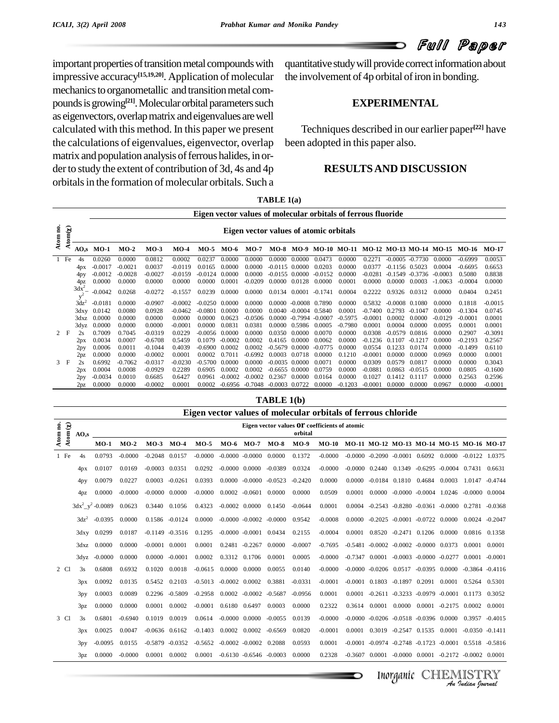# Full Paper

important properties of transition metal compounds with impressive accuracy **[15,19,20]**. Application of molecular mechanics to organometallic and transition metal compounds is growing<sup>[21]</sup>. Molecular orbital parameters such as eigenvectors, overlap matrix and eigenvalues are well calculated with this method. In this paper we present the calculations of eigenvalues, eigenvector, overlap matrix and population analysis of ferrous halides, in or-<br>der to study the extent of contribution of 3d, 4s and 4p orbitals in the formation of molecular orbitals. Such a

quantitative study will provide correct information about the involvement of 4p orbital of iron in bonding.

### **EXPERIMENTAL**

Techniques described in our earlier paper **[22]** have been adopted in this paper also.

### **RESULTSAND DISCUSSION**

|         |             |                                                                                                                                                                                                        |           |           |           |           |           |           |                                        |                    |        |           | Eigen vector values of molecular orbitals of ferrous fluoride |           |                  |           |           |           |           |
|---------|-------------|--------------------------------------------------------------------------------------------------------------------------------------------------------------------------------------------------------|-----------|-----------|-----------|-----------|-----------|-----------|----------------------------------------|--------------------|--------|-----------|---------------------------------------------------------------|-----------|------------------|-----------|-----------|-----------|-----------|
| Atom no | $tom(\chi)$ |                                                                                                                                                                                                        |           |           |           |           |           |           | Eigen vector values of atomic orbitals |                    |        |           |                                                               |           |                  |           |           |           |           |
|         | ∽           | AO.s                                                                                                                                                                                                   | MO-1      | $MO-2$    | $MO-3$    | $MO-4$    | $MO-5$    | $MO-6$    | $MO-7$                                 |                    |        |           | MO-8 MO-9 MO-10 MO-11 MO-12 MO-13 MO-14 MO-15                 |           |                  |           |           | MO-16     | $MO-17$   |
|         | $1$ Fe      | 4s                                                                                                                                                                                                     | 0.0260    | 0.0000    | 0.0812    | 0.0002    | 0.0237    | 0.0000    | 0.0000                                 | 0.0000             | 0.0000 | 0.0473    | 0.0000                                                        | 0.2271    | $-0.0005$        | $-0.7730$ | 0.0000    | $-0.6999$ | 0.0053    |
|         |             | 4px                                                                                                                                                                                                    | $-0.0017$ | $-0.0021$ | 0.0037    | $-0.0119$ | 0.0165    | 0.0000    | 0.0000                                 | $-0.0115$ 0.0000   |        | 0.0203    | 0.0000                                                        | 0.0377    | $-0.1156$ 0.5023 |           | 0.0004    | $-0.6695$ | 0.6653    |
|         |             | 4py                                                                                                                                                                                                    | $-0.0012$ | $-0.0028$ | $-0.0027$ | $-0.0159$ | $-0.0124$ | 0.0000    | 0.0000                                 | $-0.0155$ 0.0000   |        | $-0.0152$ | 0.0000                                                        | $-0.0281$ | $-0.1549$        | $-0.3736$ | $-0.0003$ | 0.5080    | 0.8838    |
|         |             | 4pz                                                                                                                                                                                                    | 0.0000    | 0.0000    | 0.0000    | 0.0000    | 0.0000    | 0.0001    | $-0.0209$                              | 0.0000 0.0128      |        | 0.0000    | 0.0001                                                        | 0.0000    | 0.0000           | 0.0003    | $-1.0063$ | $-0.0004$ | 0.0000    |
|         |             | $3dx^2$<br>0.2222<br>$-0.0042$<br>0.0268<br>$-0.0272$<br>$-0.1557$<br>0.0239<br>0.0000<br>0.0000<br>0.0134 0.0001<br>$-0.1741$<br>0.0004<br>0.9326<br>0.0312<br>0.2451<br>0.0000<br>0.0404<br>$v^2$    |           |           |           |           |           |           |                                        |                    |        |           |                                                               |           |                  |           |           |           |           |
|         |             | $3dz^2$<br>$-0.0181$<br>0.0000<br>$-0.0907$<br>0.0000<br>0.7890<br>0.0000<br>0.5832<br>$-0.0008$<br>$-0.0015$<br>$-0.0002$<br>$-0.0250$<br>0.0000<br>0.0000<br>$-0.0008$<br>0.1080<br>0.0000<br>0.1818 |           |           |           |           |           |           |                                        |                    |        |           |                                                               |           |                  |           |           |           |           |
|         |             | 0.0142<br>0.0928<br>0.0000<br>0.0000<br>0.0040<br>0.0001<br>$-0.7400$<br>$-0.1304$<br>0.0745<br>0.0080<br>$-0.0462$<br>$-0.0801$<br>$-0.0004$<br>0.5840<br>0.2793<br>$-0.1047$<br>0.0000<br>3dxy       |           |           |           |           |           |           |                                        |                    |        |           |                                                               |           |                  |           |           |           |           |
|         |             | 0.0000<br>0.0000<br>0.0000<br>0.0000<br>0.0623<br>-0.0506<br>$-0.7994$ $-0.0007$<br>$-0.5975$<br>0.0000<br>0.0000<br>0.0000<br>$-0.0001$<br>0.0002<br>$-0.0129$<br>$-0.0001$<br>0.0001<br>3dxz         |           |           |           |           |           |           |                                        |                    |        |           |                                                               |           |                  |           |           |           |           |
|         |             | 0.0000<br>0.0000<br>0.0831<br>0.0381<br>0.0005<br>$-0.7980$<br>0.0001<br>0.0001<br>0.0000<br>$-0.0001$<br>0.0000<br>0.0000<br>0.5986<br>0.0004<br>0.0000<br>0.0095<br>0.0001<br>3dyz                   |           |           |           |           |           |           |                                        |                    |        |           |                                                               |           |                  |           |           |           |           |
|         | 2 F         | 0.7009<br>2s<br>$-0.0319$<br>0.0229<br>0.0070<br>$-0.3091$<br>0.7045<br>$-0.0056$<br>0.0000<br>0.0000<br>0.0350<br>0.0000<br>0.0000<br>0.0308<br>$-0.0579$<br>0.0816<br>0.2907<br>0.0000               |           |           |           |           |           |           |                                        |                    |        |           |                                                               |           |                  |           |           |           |           |
|         |             | 2px                                                                                                                                                                                                    | 0.0034    | 0.0007    | $-0.6708$ | 0.5459    | 0.1079    | $-0.0002$ | 0.0002                                 | 0.4165             | 0.0000 | 0.0062    | 0.0000                                                        | $-0.1236$ | 0.1107           | $-0.1217$ | 0.0000    | $-0.2193$ | 0.2567    |
|         |             | 2py                                                                                                                                                                                                    | 0.0006    | 0.0011    | $-0.1044$ | 0.4039    | $-0.6900$ | 0.0002    | 0.0002                                 | $-0.5679$          | 0.0000 | $-0.0775$ | 0.0000                                                        | 0.0554    | 0.1233           | 0.0174    | 0.0000    | $-0.1499$ | 0.6110    |
|         |             | 2pz                                                                                                                                                                                                    | 0.0000    | 0.0000    | $-0.0002$ | 0.0001    | 0.0002    | 0.7011    | $-0.6992$                              | 0.0003             | 0.0718 | 0.0000    | 0.1210                                                        | $-0.0001$ | 0.0000           | 0.0000    | 0.0969    | 0.0000    | 0.0001    |
|         | 3 F         | 2s                                                                                                                                                                                                     | 0.6992    | $-0.7062$ | $-0.0317$ | $-0.0230$ | $-0.5700$ | 0.0000    | 0.0000                                 | $-0.0035$ 0.0000   |        | 0.0071    | 0.0000                                                        | 0.0309    | 0.0579           | 0.0817    | 0.0000    | 0.0000    | 0.3043    |
|         |             | 2px                                                                                                                                                                                                    | 0.0004    | 0.0008    | $-0.0929$ | 0.2289    | 0.6905    | 0.0002    | 0.0002                                 | $-0.6655$ 0.0000   |        | 0.0759    | 0.0000                                                        | $-0.0881$ | 0.0863           | $-0.0515$ | 0.0000    | 0.0805    | $-0.1600$ |
|         |             | 2py                                                                                                                                                                                                    | $-0.0034$ | 0.0010    | 0.6685    | 0.6427    | 0.0961    | $-0.0002$ | $-0.0002$                              | 0.2367             | 0.0000 | 0.0164    | 0.0000                                                        | 0.1027    | 0.1412           | 0.1117    | 0.0000    | 0.2563    | 0.2596    |
|         |             | 2pz                                                                                                                                                                                                    | 0.0000    | 0.0000    | $-0.0002$ | 0.0001    | 0.0002    | $-0.6956$ | $-0.7048$                              | $-0.0003$ $0.0722$ |        | 0.0000    | $-0.1203$                                                     | $-0.0001$ | 0.0000           | 0.0000    | 0.0967    | 0.0000    | $-0.0001$ |
|         |             |                                                                                                                                                                                                        |           |           |           |           |           |           |                                        | TABLE 1(b)         |        |           |                                                               |           |                  |           |           |           |           |

**TABLE 1(a)**

|                                 |                 |      |                        |           |                    |                     |           |                                        |                             |           |           | Eigen vector values of molecular orbitals of ferrous chloride |        |                    |                                                                      |                                      |        |                                       |           |
|---------------------------------|-----------------|------|------------------------|-----------|--------------------|---------------------|-----------|----------------------------------------|-----------------------------|-----------|-----------|---------------------------------------------------------------|--------|--------------------|----------------------------------------------------------------------|--------------------------------------|--------|---------------------------------------|-----------|
|                                 |                 |      |                        |           |                    |                     |           |                                        |                             |           |           | Eigen vector values OF coefficients of atomic                 |        |                    |                                                                      |                                      |        |                                       |           |
| Atom no.<br>Atom $(\pmb{\chi})$ | AO.s            |      |                        |           |                    |                     |           |                                        |                             |           | orbital   |                                                               |        |                    |                                                                      |                                      |        |                                       |           |
|                                 |                 |      | $MO-1$                 | $MO-2$    | $MO-3$             | $MO-4$              | $MO-5$    |                                        | MO-6 MO-7 MO-8              |           | $MO-9$    | MO-10 MO-11 MO-12 MO-13 MO-14 MO-15 MO-16 MO-17               |        |                    |                                                                      |                                      |        |                                       |           |
| 1 Fe                            | 4s              |      | 0.0793                 | $-0.0000$ | $-0.2048$ 0.0157   |                     |           | $-0.0000$ $-0.0000$ $-0.0000$ $0.0000$ |                             |           | 0.1372    | $-0.0000$                                                     |        |                    | $-0.0000 -0.2090 -0.0001 -0.6092 -0.0000 -0.0122 -1.0375$            |                                      |        |                                       |           |
|                                 | 4px             |      | 0.0107                 | 0.0169    | $-0.0003$          | 0.0351              | 0.0292    | $-0.0000$ $0.0000$                     |                             | $-0.0389$ | 0.0324    | $-0.0000$                                                     |        | $-0.0000$ $0.2440$ | 0.1349                                                               |                                      |        | $-0.6295$ $-0.0004$ $0.7431$ $0.6631$ |           |
|                                 | 4py             |      | 0.0079                 | 0.0227    | 0.0003             | $-0.0261$           | 0.0393    |                                        | $0.0000 - 0.0000 - 0.0523$  |           | $-0.2420$ | 0.0000                                                        | 0.0000 |                    | $-0.0184$ $0.1810$ $0.4684$ $0.0003$                                 |                                      |        | 1.0147 -0.4744                        |           |
|                                 | 4pz             |      | 0.0000                 | $-0.0000$ | $-0.0000$ $0.0000$ |                     | $-0.0000$ |                                        | $0.0002 -0.0601 0.0000$     |           | 0.0000    | 0.0509                                                        | 0.0001 |                    | $0.0000$ $-0.0000$ $-0.0004$ $1.0246$ $-0.0000$ $0.0004$             |                                      |        |                                       |           |
|                                 |                 |      | $3dx^2 - y^2 - 0.0089$ | 0.0623    | 0.3440             | 0.1056              | 0.4323    | $-0.0002$ 0.0000                       |                             | 0.1450    | $-0.0644$ | 0.0001                                                        |        |                    | 0.0004 -0.2543 -0.8280 -0.0361 -0.0000 0.2781 -0.0368                |                                      |        |                                       |           |
|                                 | $3dz^2$         |      | $-0.0395$              | 0.0000    |                    | 0.1586 -0.0124      | 0.0000    |                                        | $-0.0000 - 0.0002 - 0.0000$ |           | 0.9542    | $-0.0008$                                                     |        |                    | $0.0000 -0.2025 -0.0001 -0.0722 -0.0000$                             |                                      |        | $0.0024$ $-0.2047$                    |           |
|                                 |                 |      | 3dxy 0.0299            | 0.0187    |                    | $-0.1149 - 0.3516$  | 0.1295    |                                        | $-0.0000 - 0.0001$ 0.0434   |           | 0.2155    | $-0.0004$                                                     | 0.0001 |                    | 0.8520 -0.2471 0.1206 0.0000                                         |                                      |        | 0.0816 0.1358                         |           |
|                                 |                 |      | 3dxz 0.0000            | 0.0000    | $-0.0001$          | 0.0001              | 0.0001    |                                        | $0.2481 - 0.2267$           | 0.0000    | $-0.0007$ | $-0.7695$                                                     |        |                    | $-0.5481$ $-0.0002$ $-0.0002$ $-0.0000$ $0.0373$                     |                                      |        | 0.0001                                | 0.0001    |
|                                 |                 | 3dyz | $-0.0000$              | 0.0000    | 0.0000             | $-0.0001$           | 0.0002    |                                        | 0.3312 0.1706               | 0.0001    | 0.0005    | $-0.0000$                                                     |        |                    | $-0.7347$ $0.0001$ $-0.0003$ $-0.0000$ $-0.0277$                     |                                      |        | 0.0001                                | $-0.0001$ |
| 2 Cl                            | 3s              |      | 0.6808                 | 0.6932    | 0.1020             | 0.0018              | $-0.0615$ | $0.0000 \quad 0.0000$                  |                             | 0.0055    | 0.0140    | $-0.0000$                                                     |        |                    | $-0.0000$ $-0.0206$ $0.0517$ $-0.0395$ $0.0000$                      |                                      |        | $-0.3864$ $-0.4116$                   |           |
|                                 | 3px             |      | 0.0092                 | 0.0135    | 0.5452             | 0.2103              |           | $-0.5013 - 0.0002$ 0.0002              |                             | 0.3881    | $-0.0331$ | $-0.0001$                                                     |        | $-0.0001$ 0.1803   | -0.1897   0.2091                                                     |                                      | 0.0001 | 0.5264                                | 0.5301    |
|                                 | 3py             |      | 0.0003                 | 0.0089    | 0.2296             | $-0.5809$           | $-0.2958$ |                                        | $0.0002 - 0.0002$           | $-0.5687$ | $-0.0956$ | 0.0001                                                        |        |                    | $0.0001 - 0.2611 - 0.3233 - 0.0979 - 0.0001 - 0.1173 - 0.3052$       |                                      |        |                                       |           |
|                                 | 3pz             |      | 0.0000                 | 0.0000    | 0.0001             | 0.0002              | $-0.0001$ | 0.6180 0.6497                          |                             | 0.0003    | 0.0000    | 0.2322                                                        |        | 0.3614 0.0001      |                                                                      | $0.0000$ $0.0001$ $-0.2175$ $0.0002$ |        |                                       | 0.0001    |
| 3 Cl                            | 3s              |      | 0.6801                 | $-0.6940$ | 0.1019             | 0.0019              | 0.0614    | $-0.0000$ $0.0000$                     |                             | $-0.0055$ | 0.0139    | $-0.0000$                                                     |        |                    | $-0.0000$ $-0.0206$ $-0.0518$ $-0.0396$ 0.0000                       |                                      |        | $0.3957 - 0.4015$                     |           |
|                                 | 3px             |      | 0.0025                 | 0.0047    | $-0.0636$ $0.6162$ |                     | $-0.1403$ | 0.0002                                 | 0.0002                      | $-0.6569$ | 0.0820    | $-0.0001$                                                     | 0.0001 |                    | 0.3019 -0.2547 0.1535 0.0001                                         |                                      |        | $-0.0350 -0.1411$                     |           |
|                                 | 3py             |      | $-0.0095$              | 0.0155    |                    | $-0.5879$ $-0.0352$ |           | $-0.5652 -0.0002 -0.0002 0.2088$       |                             |           | 0.0593    | 0.0001                                                        |        |                    | $-0.0001$ $-0.0974$ $-0.2748$ $-0.1723$ $-0.0001$ $0.5518$ $-0.5816$ |                                      |        |                                       |           |
|                                 | 3p <sub>Z</sub> |      | 0.0000                 | $-0.0000$ | 0.0001             | 0.0002              | 0.0001    |                                        | $-0.6130 -0.6546 -0.0003$   |           | 0.0000    | 0.2328                                                        |        |                    | $-0.3607$ $0.0001$ $-0.0000$ $0.0001$ $-0.2172$ $-0.0002$ $0.0001$   |                                      |        |                                       |           |
|                                 |                 |      |                        |           |                    |                     |           |                                        |                             |           |           |                                                               |        |                    |                                                                      |                                      |        |                                       |           |
|                                 |                 |      |                        |           |                    |                     |           |                                        |                             |           |           |                                                               |        |                    | Inorganic                                                            |                                      |        | An Indian Nournal                     |           |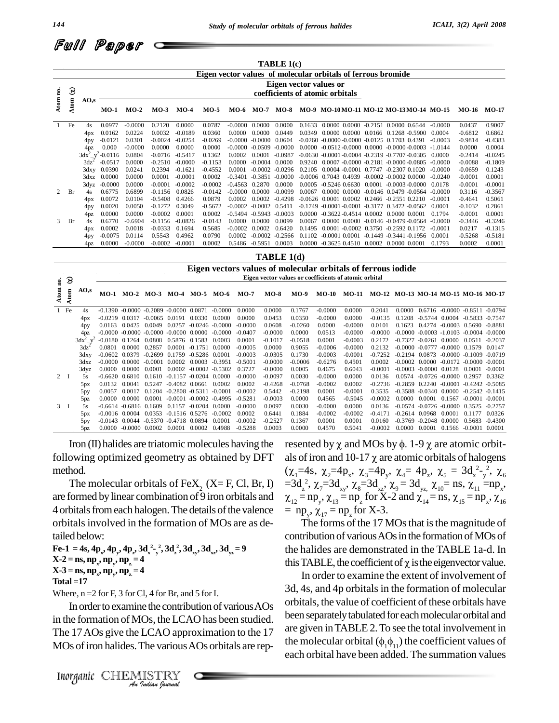

|                |      |                  |                |           |           |           |           |                  |                     | TABLE 1(c) |        |                                                              |                                                                 |           |           |           |
|----------------|------|------------------|----------------|-----------|-----------|-----------|-----------|------------------|---------------------|------------|--------|--------------------------------------------------------------|-----------------------------------------------------------------|-----------|-----------|-----------|
|                |      |                  |                |           |           |           |           |                  |                     |            |        | Eigen vector values of molecular orbitals of ferrous bromide |                                                                 |           |           |           |
|                |      |                  |                |           |           |           |           |                  |                     |            |        | Eigen vector values or                                       |                                                                 |           |           |           |
| g              | 3    |                  |                |           |           |           |           |                  |                     |            |        | coefficients of atomic orbitals                              |                                                                 |           |           |           |
| Atom           | Atom | AO.s             | <b>MO-1</b>    | $MO-2$    | $MO-3$    | $MO-4$    | $MO-5$    | MO-6             | <b>MO-7 MO-8</b>    |            |        |                                                              | MO-9 MO-10MO-11 MO-12 MO-13MO-14 MO-15                          |           | MO-16     | $MO-17$   |
| $\mathbf{1}$   | Fe   | 4s               | 0.0977         | $-0.0000$ | 0.2120    | 0.0000    | 0.0787    | $-0.0000$        | 0.0000              | 0.0000     | 0.1633 | $0.0000$ $0.0000$                                            | $-0.2151$ 0.0000 0.6544                                         | $-0.0000$ | 0.0437    | 0.9007    |
|                |      | 4px              | 0.0162         | 0.0224    | 0.0032    | $-0.0189$ | 0.0360    | 0.0000           | 0.0000              | 0.0449     | 0.0349 |                                                              | $0.0000$ $0.0000$ $0.0166$ $0.1268$ $-0.5900$                   | 0.0004    | $-0.6812$ | 0.6862    |
|                |      | 4py              | $-0.0121$      | 0.0301    | $-0.0024$ | $-0.0254$ | $-0.0269$ | -0.0000          | $-0.0000$           | 0.0604     |        |                                                              | $-0.0260 - 0.0000 - 0.0000 - 0.0125$ 0.1703 0.4391              | $-0.0003$ | $-0.9814$ | $-0.4383$ |
|                |      | 4pz              | 0.000          | $-0.0000$ | 0.0000    | 0.0000    | 0.0000    | -0.0000          | $-0.0509$           | $-0.0000$  | 0.0000 |                                                              | $-0.0512 - 0.0000 - 0.0000 - 0.0000 - 0.0003 - 1.0144$          |           | 0.0000    | 0.0004    |
|                |      | $3dx^2$          | $v^2 - 0.0116$ | 0.0804    | $-0.0716$ | $-0.5417$ | 0.1362    | 0.0002           | 0.0001              | $-0.0987$  |        |                                                              | $-0.0630 - 0.0001 - 0.0004 - 0.2319 - 0.7707 - 0.0305 - 0.0000$ |           | $-0.2414$ | $-0.0245$ |
|                |      | $3dz^2$          | $-0.0517$      | 0.0000    | $-0.2510$ | $-0.0000$ | $-0.1153$ | 0.0000           | $-0.0004$           | 0.0000     | 0.9240 |                                                              | $0.0007 - 0.0000 - 0.2181 - 0.0000 - 0.0805$                    | $-0.0000$ | $-0.0088$ | $-0.1809$ |
|                |      |                  | 3dxy 0.0390    | 0.0241    | 0.2394    | $-0.1621$ | $-0.4552$ | 0.0001           | $-0.0002$           | $-0.0296$  | 0.2105 |                                                              | $0.0004 - 0.0001$ $0.7747 - 0.2307$ $0.1020$                    | $-0.0000$ | $-0.0659$ | 0.1243    |
|                |      | 3dxz             | 0.0000         | 0.0000    | 0.0001    | $-0.0001$ | 0.0002    | $-0.3401$        | $-0.3851$           | $-0.0000$  |        |                                                              | $-0.0006$ 0.7043 0.4939 $-0.0002$ $-0.0002$ 0.0000              | $-0.0240$ | $-0.0001$ | 0.0001    |
|                |      |                  | 3dyz -0.0000   | 0.0000    | $-0.0001$ | $-0.0002$ | $-0.0002$ | $-0.4563$ 0.2870 |                     | 0.0000     | 0.0005 |                                                              | $-0.5246$ $0.6630$ $0.0001$ $-0.0003$ $-0.0000$                 | 0.0178    | $-0.0001$ | $-0.0001$ |
| $\overline{2}$ | Br   | 4s               | 0.6775         | 0.6899    | $-0.1156$ | 0.0826    | $-0.0142$ | $-0.0000$        | 0.0000              | $-0.0099$  | 0.0067 |                                                              | $0.0000$ $0.0000$ $-0.0146$ $0.0479$ $-0.0564$ $-0.0000$        |           | 0.3116    | $-0.3567$ |
|                |      | 4 <sub>D</sub> x | 0.0072         | 0.0104    | $-0.5408$ | 0.4266    | 0.0879    | 0.0002           | 0.0002              | $-0.4298$  |        |                                                              | $-0.0626$ 0.0001 0.0002 0.2466 $-0.2551$ 0.2210                 | $-0.0001$ | $-0.4641$ | 0.5061    |
|                |      | 4py              | 0.0020         | 0.0050    | $-0.1272$ | 0.3049    | $-0.5672$ | $-0.0002$        | $-0.0002$ $0.5411$  |            |        |                                                              | $-0.1749 - 0.0001 - 0.0001 - 0.3177 - 0.3472 - 0.0562$          | 0.0001    | $-0.1032$ | 0.2861    |
|                |      | 4 <sub>pz</sub>  | 0.0000         | 0.0000    | $-0.0002$ | 0.0001    | 0.0002    |                  | $-0.5494$ $-0.5943$ | $-0.0003$  | 0.0000 | $-0.3622 - 0.4514$ 0.0002 0.0000 0.0001                      |                                                                 | 0.1794    | $-0.0001$ | 0.0001    |
| 3              | Br   | 4s               | 0.6770         | $-0.6904$ | $-0.1156$ | $-0.0826$ | $-0.0143$ | 0.0000           | 0.0000              | 0.0099     | 0.0067 |                                                              | $0.0000$ $0.0000$ $-0.0146$ $-0.0479$ $-0.0564$                 | $-0.0000$ | $-0.3446$ | $-0.3246$ |
|                |      | 4px              | 0.0002         | 0.0018    | $-0.0333$ | 0.1694    | 0.5685    | $-0.0002$        | 0.0002              | 0.6420     | 0.1495 |                                                              | $0.0001 - 0.0002$ $0.3750 - 0.2592$ $0.1172$                    | $-0.0001$ | 0.0217    | $-0.1315$ |
|                |      | 4py              | $-0.0075$      | 0.0114    | 0.5543    | 0.4962    | 0.0790    | 0.0002           | $-0.0002$           | $-0.2566$  | 0.1102 |                                                              | $-0.0001$ $0.0001$ $-0.1449$ $-0.3441$ $-0.1956$ $0.0001$       |           | $-0.5268$ | $-0.5181$ |
|                |      | 4 <sub>DZ</sub>  | 0.0000         | $-0.0000$ | $-0.0002$ | $-0.0001$ | 0.0002    | 0.5486           | $-0.5951$           | 0.0003     | 0.0000 |                                                              | $-0.3625$ $0.4510$ $0.0002$ $0.0000$ $0.0001$                   | 0.1793    | 0.0002    | 0.0001    |

**TABLE 1(d)**

|     |               |                       |                    |                  |                                               |                  |                             |           |           | Eigen vectors values of molecular orbitals of ferrous iodide |           |           |           |                                     |           |                               |                                     |                     |           |
|-----|---------------|-----------------------|--------------------|------------------|-----------------------------------------------|------------------|-----------------------------|-----------|-----------|--------------------------------------------------------------|-----------|-----------|-----------|-------------------------------------|-----------|-------------------------------|-------------------------------------|---------------------|-----------|
| no. | $\mathcal{S}$ |                       |                    |                  |                                               |                  |                             |           |           | Eigen vector values or coefficients of atomic orbital        |           |           |           |                                     |           |                               |                                     |                     |           |
|     | tom<br>₹      | AO.s                  | MO-1               |                  |                                               |                  | MO-2 MO-3 MO-4 MO-5 MO-6    |           | $MO-7$    | $MO-8$                                                       | MO-9      | MO-10     | MO-11     | MO-12 MO-13 MO-14 MO-15 MO-16 MO-17 |           |                               |                                     |                     |           |
|     | 1 Fe          | 4s                    |                    |                  | $-0.1390 -0.0000 -0.2089 -0.0000 0.0871$      |                  |                             | $-0.0000$ | 0.0000    | 0.0000                                                       | 0.1767    | $-0.0000$ | 0.0000    | 0.2041                              | 0.0000    |                               | $0.6716 - 0.0000 - 0.8511 - 0.0794$ |                     |           |
|     |               | 4px                   | $-0.0219$          | 0.0317           | $-0.0065$ 0.0191                              |                  | 0.0330                      | -0.0000   | 0.0000    | 0.0453                                                       | 0.0350    | $-0.0000$ | 0.0000    | $-0.0135$                           | 0.1208    | $-0.5744$ $0.0004$            |                                     | $-0.5833$           | $-0.7547$ |
|     |               | 4py                   | 0.0163             | 0.0425           | 0.0049                                        | 0.0257           | $-0.0246 - 0.0000$          |           | $-0.0000$ | 0.0608                                                       | $-0.0260$ | 0.0000    | $-0.0000$ | 0.0101                              | 0.1623    | 0.4274                        | $-0.0003$ 0.5690 $-0.8881$          |                     |           |
|     |               | 4pz                   |                    |                  | $-0.0000 - 0.0000 - 0.0000 - 0.0000 - 0.0000$ |                  |                             | $-0.0000$ | $-0.0407$ | $-0.0000$                                                    | 0.0000    | 0.0513    | $-0.0000$ | $-0.0000$                           |           | $-0.0000 - 0.0003 - 1.0103$   |                                     | $-0.0004$ $-0.0000$ |           |
|     |               | $3dx^2$<br>$V^{\sim}$ | $-0.0180$ $0.1264$ |                  | 0.0808                                        | 0.5876           | 0.1583                      | 0.0003    | 0.0001    | $-0.1017$                                                    | $-0.0518$ | 0.0001    | $-0.0003$ | 0.2172                              | $-0.7327$ | $-0.0261$                     | - 0.0000                            | 0.0511              | -0.2037   |
|     |               | 3dz                   | 0.0801             | 0.0000           | 0.2857                                        | 0.0001           | $-0.1751$ 0.0000            |           | $-0.0005$ | 0.0000                                                       | 0.9055    | $-0.0006$ | $-0.0000$ | 0.2132                              |           | $-0.0000 - 0.0777$            | $-0.0000$ $0.1579$                  |                     | 0.0147    |
|     |               | 3dxy                  | $-0.0602$          | 0.0379           | $-0.2699$ $0.1759$                            |                  | $-0.5286$ 0.0001            |           | $-0.0003$ | $-0.0305$                                                    | 0.1730    | $-0.0003$ | $-0.0001$ | $-0.7252$                           |           | $-0.2194$ $0.0873$            | $-0.0000 - 0.1009$                  |                     | $-0.0719$ |
|     |               | 3dxz                  | -0.0000            | - 0.0000         | $-0.0001$                                     | - 0.0002         | 0.0003                      | $-0.3951$ | $-0.5001$ | $-0.0000$                                                    | $-0.0006$ | $-0.6276$ | 0.4501    | 0.0002                              |           | $-0.0002 \quad 0.0000$        | $-0.0172 - 0.0000 - 0.0001$         |                     |           |
|     |               | 3dyz                  | 0.0000             | 0.0000           | 0.0001                                        |                  | $0.0002 -0.0002 -0.5302$    |           | 0.3727    | $-0.0000$                                                    | 0.0005    | 0.4675    | 0.6043    | $-0.0001$                           |           | $-0.0003 - 0.0000 0.0128$     |                                     | 0.0001              | $-0.0001$ |
|     | $2 \quad I$   | 5s                    | $-0.6620$          | 0.6810           | 0.1610                                        |                  | $-0.1157 - 0.0204$          | - 0.0000  | $-0.0000$ | $-0.0097$                                                    | 0.0030    | $-0.0000$ | 0.0000    | 0.0136                              | 0.0574    | $-0.0726 - 0.0000$            |                                     | 0.2957              | 0.3362    |
|     |               | 5px                   | 0.0132             | 0.0041           | 0.5247                                        | $-0.4082$ 0.0661 |                             | 0.0002    | 0.0002    | $-0.4268$                                                    | $-0.0768$ | $-0.0002$ | 0.0002    | $-0.2736$                           |           | $-0.2859$ 0.2240              | $-0.0001 - 0.4242 - 0.5085$         |                     |           |
|     |               | 5py                   | 0.0057             | 0.0017           | 0.1204                                        |                  | $-0.2808 - 0.5311 - 0.0001$ |           | $-0.0002$ | 0.5442                                                       | $-0.2198$ | 0.0001    | $-0.0001$ | 0.3535                              |           | $-0.3588 - 0.0340 0.0000$     |                                     | $-0.2542 - 0.1415$  |           |
|     |               | 5pz                   | 0.0000             | 0.0000           | 0.0001                                        |                  | $-0.0001 - 0.0002 - 0.4995$ |           | $-0.5281$ | $-0.0003$                                                    | 0.0000    | 0.4565    | $-0.5045$ | $-0.0002$                           | 0.0000    | 0.0001                        | 0.1567                              | $-0.0001$           | $-0.0001$ |
|     | $3 \text{ I}$ | 5s                    | -0.6614            | $-0.6816$ 0.1609 |                                               | 0.1157           | $-0.0204$                   | - 0.0000  | $-0.0000$ | 0.0097                                                       | 0.0030    | $-0.0000$ | 0.0000    | 0.0136                              |           | $-0.0574$ $-0.0726$ $-0.0000$ |                                     | 0.3525              | $-0.2757$ |
|     |               | 5px                   | $-0.0016$ 0.0004   |                  | 0.0353                                        |                  | $-0.1516$ 0.5276            | $-0.0002$ | 0.0002    | 0.6441                                                       | 0.1884    | $-0.0002$ | $-0.0002$ | $-0.4171$                           |           | $-0.2614$ 0.0968              | 0.0001                              | 0.1177              | 0.0326    |
|     |               | 5py                   | $-0.0143$          | 0.0044           | $-0.5370 - 0.4718$ 0.0894                     |                  |                             | 0.0001    | $-0.0002$ | $-0.2527$                                                    | 0.1367    | 0.0001    | 0.0001    | 0.0160                              | $-0.3769$ | $-0.2048$ 0.0000              |                                     | 0.5683              | $-0.4300$ |
|     |               | 5pz                   | 0.0000             |                  | $-0.0000$ $0.0002$                            | 0.0001           | 0.0002                      | 0.4988    | $-0.5288$ | 0.0003                                                       | 0.0000    | 0.4570    | 0.5041    | $-0.0002$                           | 0.0000    |                               | 0.0001 0.1566                       | $-0.0001$ 0.0001    |           |

 $Iron (II)$  halides are triatomic molecules having the following optimized geometry as obtained by DFT method.

The molecular orbitals of FeX<sub>2</sub> (X= F, Cl, Br, I) are formed bylinear combination of 9 iron orbitals and 4 orbitals from each halogen. The details of the valence  $= np_{v}$ ,  $\chi_{17} = np_{r}$  for X-3. orbitalsinvolved in the formation of MOs are as detailed below:

Fe-1 = 4s,  $4p_x$ ,  $4p_y$ ,  $4p_z$ ,  $3d_x^2 - 3d_z^2$ ,  $3d_{xy}$ ,  $3d_{xz}$ ,  $3d_{yz} = 9$  $X-Z = ns, np_x, np_y, np_z = 4$  $X-3 = ns, np_x, np_y, np_z = 4$ **Total =17**

Where,  $n = 2$  for F, 3 for Cl, 4 for Br, and 5 for I.

In order to examine the contribution of various AOs <sup>OTDIL</sup> In order to examine the contribution of variou<br> *I*n the formation of MOs, the LCAO has been striple 17 AOs give the LCAO approximation to<br> *M*Os of iron halides. The various AOs orbitals and<br> *Inorganic* CHEMISTRY in the formation of MOs, the LCAO has been studied. The 17AOs give the LCAO approximation to the 17 MOs of iron halides. The various AOs orbitals are rep-

resented by  $\chi$  and MOs by  $\phi$ . 1-9  $\chi$  are atomic orbitals of iron and 10-17  $\chi$  are atomic orbitals of halogens resented by  $\chi$  and MOs by  $\phi$ . 1-9  $\chi$  are atomic orbit-<br>als of iron and 10-17  $\chi$  are atomic orbitals of halogens<br>( $\chi_1$ =4s,  $\chi_2$ =4p<sub>x</sub>,  $\chi_3$ =4p<sub>y</sub>,  $\chi_4$ = 4p<sub>z</sub>,  $\chi_5$  = 3d<sub>x</sub><sup>2</sup>-<sub>y</sub><sup>2</sup>,  $\chi_6$ resented by  $\chi$  and MOs by  $\phi$ . 1-9  $\chi$  are atomic orbit-<br>als of iron and 10-17  $\chi$  are atomic orbitals of halogens<br> $(\chi_1=4s, \chi_2=4p_x, \chi_3=4p_y, \chi_4=4p_z, \chi_5=3d_{x-y}^2, \chi_6$ <br>=3d<sub>2</sub><sup>2</sup>,  $\chi_7=3d_{xy}, \chi_8=3d_{xz}, \chi_9=3d_{yz}$ ,  $n_{12} = np_y, \chi_{13} = 1$  $=3d_{z}^{2}$ ,  $\chi_{7}=3d_{xy}$ ,  $\chi_{8}=3d_{xz}$ ,  $\chi_{9}=3d_{yz}$ ,  $\chi_{10}=$  ns,  $\chi_{11}=$ np<sub>x</sub>,  $(\chi_1=4s, \chi_2=4p_x, \chi_3=4p_y, \chi_4=4p_z, \chi_5=3d_x^2-\frac{2}{y}, \chi_6$ <br>=3d<sub>2</sub><sup>2</sup>,  $\chi_7=3d_{xy}, \chi_8=3d_{xz}, \chi_9=3d_{yz}, \chi_{10}=ns, \chi_{11}=np_x,$ <br> $\chi_{12}=np_y, \chi_{13}=np_z$  for X-2 and  $\chi_{14}=ns, \chi_{15}=np_x, \chi_{16}$ <br>= np<sub>y</sub>,  $\chi_{17}=np_z$  for X-3.  $\chi_2^2$ ,  $\chi_7 = 3d_{xy}$ ,  $\chi_8 = 3d_{xz}$ ,  $\chi_9 = 3d_{yz}$ ,  $\chi_{10} = \text{ns}$ ,  $\chi_{11} = \text{np}_x$ ,<br>  $= np_y$ ,  $\chi_{13} = np_z$  for X-2 and  $\chi_{14} = \text{ns}$ ,  $\chi_{15} = np_x$ ,  $\chi_{16}$ <br>  $p_y$ ,  $\chi_{17} = np_z$  for X-3.<br>
The forms of the 17 MOs that is th

contribution of various  $AOs$  in the formation of  $MOs$  of the halides are demonstrated in the TABLE 1a-d. In this TABLE, the coefficient of  $\chi$  is the eigenvector value.

In order to examine the extent of involvement of 3d, 4s, and 4p orbitals in the formation of molecular orbitals, the value of coefficient of these orbitals have been separately tabulated for each molecular orbital and are given inTABLE 2.To see the total involvement in the molecular orbital  $(\phi_1 \phi_{11})$  the coefficient values of each orbital have been added. The summation values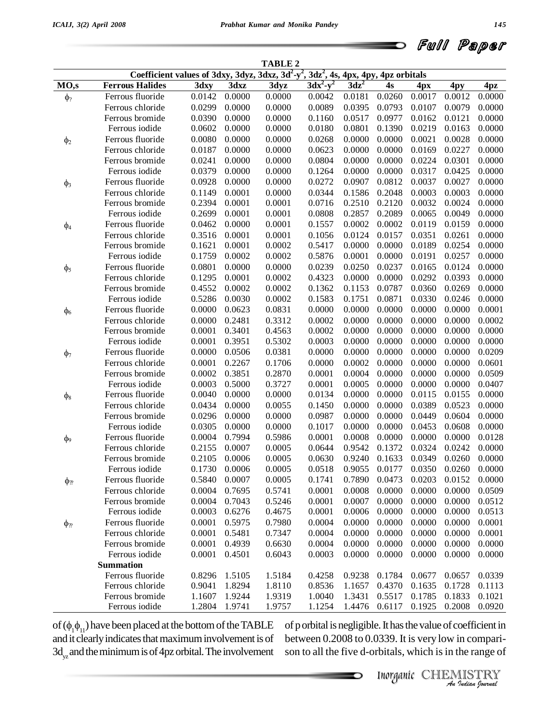|  | d Full Paper |  |
|--|--------------|--|
|  |              |  |

|                      |                                                                                           |        |               | <b>TABLE 2</b> |             |         |        |        |                                              |                 |
|----------------------|-------------------------------------------------------------------------------------------|--------|---------------|----------------|-------------|---------|--------|--------|----------------------------------------------|-----------------|
|                      | Coefficient values of 3dxy, 3dyz, 3dxz, $3d^2-y^2$ , $3dz^2$ , 4s, 4px, 4py, 4pz orbitals |        |               |                |             |         |        |        |                                              |                 |
| MO,s                 | <b>Ferrous Halides</b>                                                                    | 3dxy   | 3dxz          | 3dyz           | $3dx^2-y^2$ | $3dz^2$ | 4s     | 4px    | 4py                                          | 4 <sub>pz</sub> |
| $\phi$ ?             | Ferrous fluoride                                                                          | 0.0142 | 0.0000        | 0.0000         | 0.0042      | 0.0181  | 0.0260 | 0.0017 | 0.0012                                       | 0.0000          |
|                      | Ferrous chloride                                                                          | 0.0299 | 0.0000        | 0.0000         | 0.0089      | 0.0395  | 0.0793 | 0.0107 | 0.0079                                       | 0.0000          |
|                      | Ferrous bromide                                                                           | 0.0390 | 0.0000        | 0.0000         | 0.1160      | 0.0517  | 0.0977 | 0.0162 | 0.0121                                       | 0.0000          |
|                      | Ferrous iodide                                                                            | 0.0602 | 0.0000        | 0.0000         | 0.0180      | 0.0801  | 0.1390 | 0.0219 | 0.0163                                       | 0.0000          |
| $\phi_2$             | Ferrous fluoride                                                                          | 0.0080 | 0.0000        | 0.0000         | 0.0268      | 0.0000  | 0.0000 | 0.0021 | 0.0028                                       | 0.0000          |
|                      | Ferrous chloride                                                                          | 0.0187 | 0.0000        | 0.0000         | 0.0623      | 0.0000  | 0.0000 | 0.0169 | 0.0227                                       | 0.0000          |
|                      | Ferrous bromide                                                                           | 0.0241 | 0.0000        | 0.0000         | 0.0804      | 0.0000  | 0.0000 | 0.0224 | 0.0301                                       | 0.0000          |
|                      | Ferrous iodide                                                                            | 0.0379 | 0.0000        | 0.0000         | 0.1264      | 0.0000  | 0.0000 | 0.0317 | 0.0425                                       | 0.0000          |
| $\phi_3$             | Ferrous fluoride                                                                          | 0.0928 | 0.0000        | 0.0000         | 0.0272      | 0.0907  | 0.0812 | 0.0037 | 0.0027                                       | 0.0000          |
|                      | Ferrous chloride                                                                          | 0.1149 | 0.0001        | 0.0000         | 0.0344      | 0.1586  | 0.2048 | 0.0003 | 0.0003                                       | 0.0000          |
|                      | Ferrous bromide                                                                           | 0.2394 | 0.0001        | 0.0001         | 0.0716      | 0.2510  | 0.2120 | 0.0032 | 0.0024                                       | 0.0000          |
|                      | Ferrous iodide                                                                            | 0.2699 | 0.0001        | 0.0001         | 0.0808      | 0.2857  | 0.2089 | 0.0065 | 0.0049                                       | 0.0000          |
| $\phi_4$             | Ferrous fluoride                                                                          | 0.0462 | 0.0000        | 0.0001         | 0.1557      | 0.0002  | 0.0002 | 0.0119 | 0.0159                                       | 0.0000          |
|                      | Ferrous chloride                                                                          | 0.3516 | 0.0001        | 0.0001         | 0.1056      | 0.0124  | 0.0157 | 0.0351 | 0.0261                                       | 0.0000          |
|                      | Ferrous bromide                                                                           | 0.1621 | 0.0001        | 0.0002         | 0.5417      | 0.0000  | 0.0000 | 0.0189 | 0.0254                                       | 0.0000          |
|                      | Ferrous iodide                                                                            | 0.1759 | 0.0002        | 0.0002         | 0.5876      | 0.0001  | 0.0000 | 0.0191 | 0.0257                                       | 0.0000          |
| $\phi_5$             | Ferrous fluoride                                                                          | 0.0801 | 0.0000        | 0.0000         | 0.0239      | 0.0250  | 0.0237 | 0.0165 | 0.0124                                       | 0.0000          |
|                      | Ferrous chloride                                                                          | 0.1295 | 0.0001        | 0.0002         | 0.4323      | 0.0000  | 0.0000 | 0.0292 | 0.0393                                       | 0.0000          |
|                      | Ferrous bromide                                                                           | 0.4552 | 0.0002        | 0.0002         | 0.1362      | 0.1153  | 0.0787 | 0.0360 | 0.0269                                       | 0.0000          |
|                      | Ferrous iodide                                                                            | 0.5286 | 0.0030        | 0.0002         | 0.1583      | 0.1751  | 0.0871 | 0.0330 | 0.0246                                       | 0.0000          |
| $\phi$ <sub>6</sub>  | Ferrous fluoride                                                                          | 0.0000 | 0.0623        | 0.0831         | 0.0000      | 0.0000  | 0.0000 | 0.0000 | 0.0000                                       | 0.0001          |
|                      | Ferrous chloride                                                                          | 0.0000 | 0.2481        | 0.3312         | 0.0002      | 0.0000  | 0.0000 | 0.0000 | 0.0000                                       | 0.0002          |
|                      | Ferrous bromide                                                                           | 0.0001 | 0.3401        | 0.4563         | 0.0002      | 0.0000  | 0.0000 | 0.0000 | 0.0000                                       | 0.0000          |
|                      | Ferrous iodide                                                                            | 0.0001 | 0.3951        | 0.5302         | 0.0003      | 0.0000  | 0.0000 | 0.0000 | 0.0000                                       | 0.0000          |
| $\phi$ <sub>7</sub>  | Ferrous fluoride                                                                          | 0.0000 | 0.0506        | 0.0381         | 0.0000      | 0.0000  | 0.0000 | 0.0000 | 0.0000                                       | 0.0209          |
|                      | Ferrous chloride                                                                          | 0.0001 | 0.2267        | 0.1706         | 0.0000      | 0.0002  | 0.0000 | 0.0000 | 0.0000                                       | 0.0601          |
|                      | Ferrous bromide                                                                           | 0.0002 | 0.3851        | 0.2870         | 0.0001      | 0.0004  | 0.0000 | 0.0000 | 0.0000                                       | 0.0509          |
|                      | Ferrous iodide                                                                            | 0.0003 | 0.5000        | 0.3727         | 0.0001      | 0.0005  | 0.0000 | 0.0000 | 0.0000                                       | 0.0407          |
| $\phi_8$             | Ferrous fluoride                                                                          | 0.0040 | 0.0000        | 0.0000         | 0.0134      | 0.0000  | 0.0000 | 0.0115 | 0.0155                                       | 0.0000          |
|                      | Ferrous chloride                                                                          | 0.0434 | 0.0000        | 0.0055         | 0.1450      | 0.0000  | 0.0000 | 0.0389 | 0.0523                                       | 0.0000          |
|                      | Ferrous bromide                                                                           | 0.0296 | 0.0000        | 0.0000         | 0.0987      | 0.0000  | 0.0000 | 0.0449 | 0.0604                                       | 0.0000          |
|                      | Ferrous iodide                                                                            | 0.0305 | 0.0000        | 0.0000         | 0.1017      | 0.0000  | 0.0000 | 0.0453 | 0.0608                                       | 0.0000          |
| $\phi$ <sup>9</sup>  | Ferrous fluoride                                                                          | 0.0004 | 0.7994        | 0.5986         | 0.0001      | 0.0008  | 0.0000 | 0.0000 | 0.0000                                       | 0.0128          |
|                      | Ferrous chloride                                                                          | 0.2155 | 0.0007        | 0.0005         | 0.0644      | 0.9542  | 0.1372 | 0.0324 | 0.0242                                       | 0.0000          |
|                      | Ferrous bromide                                                                           | 0.2105 | 0.0006        | 0.0005         | 0.0630      | 0.9240  | 0.1633 | 0.0349 | 0.0260                                       | 0.0000          |
|                      | Ferrous iodide                                                                            |        | 0.1730 0.0006 | 0.0005         | 0.0518      |         |        |        | $0.9055$ $0.0177$ $0.0350$ $0.0260$ $0.0000$ |                 |
| $\phi_{\mathcal{D}}$ | Ferrous fluoride                                                                          | 0.5840 | 0.0007        | 0.0005         | 0.1741      | 0.7890  | 0.0473 | 0.0203 | 0.0152                                       | 0.0000          |
|                      | Ferrous chloride                                                                          | 0.0004 | 0.7695        | 0.5741         | 0.0001      | 0.0008  | 0.0000 | 0.0000 | 0.0000                                       | 0.0509          |
|                      | Ferrous bromide                                                                           | 0.0004 | 0.7043        | 0.5246         | 0.0001      | 0.0007  | 0.0000 | 0.0000 | 0.0000                                       | 0.0512          |
|                      | Ferrous iodide                                                                            | 0.0003 | 0.6276        | 0.4675         | 0.0001      | 0.0006  | 0.0000 | 0.0000 | 0.0000                                       | 0.0513          |
| $\phi_{\mathcal{D}}$ | Ferrous fluoride                                                                          | 0.0001 | 0.5975        | 0.7980         | 0.0004      | 0.0000  | 0.0000 | 0.0000 | 0.0000                                       | 0.0001          |
|                      | Ferrous chloride                                                                          | 0.0001 | 0.5481        | 0.7347         | 0.0004      | 0.0000  | 0.0000 | 0.0000 | 0.0000                                       | 0.0001          |
|                      | Ferrous bromide                                                                           | 0.0001 | 0.4939        | 0.6630         | 0.0004      | 0.0000  | 0.0000 | 0.0000 | 0.0000                                       | 0.0000          |
|                      | Ferrous iodide                                                                            | 0.0001 | 0.4501        | 0.6043         | 0.0003      | 0.0000  | 0.0000 | 0.0000 | 0.0000                                       | 0.0000          |
|                      | <b>Summation</b>                                                                          |        |               |                |             |         |        |        |                                              |                 |
|                      | Ferrous fluoride                                                                          | 0.8296 | 1.5105        | 1.5184         | 0.4258      | 0.9238  | 0.1784 | 0.0677 | 0.0657                                       | 0.0339          |
|                      | Ferrous chloride                                                                          | 0.9041 | 1.8294        | 1.8110         | 0.8536      | 1.1657  | 0.4370 | 0.1635 | 0.1728                                       | 0.1113          |
|                      | Ferrous bromide                                                                           | 1.1607 | 1.9244        | 1.9319         | 1.0040      | 1.3431  | 0.5517 | 0.1785 | 0.1833                                       | 0.1021          |
|                      | Ferrous iodide                                                                            | 1.2804 | 1.9741        | 1.9757         | 1.1254      | 1.4476  | 0.6117 | 0.1925 | 0.2008                                       | 0.0920          |

of  $(\phi_1 \phi_{11})$  have been placed at the bottom of the TABLE and it clearly indicates that maximum involvement is of  $3d_{yz}$  and the minimum is of 4pz orbital. The involvement sor

 *Indian Journal* of porbital is negligible. It has the value of coefficient in between 0.2008 to 0.0339. It is very low in compari son to all the five d-orbitals, which is in the range of

Inorganic CHEMISTRY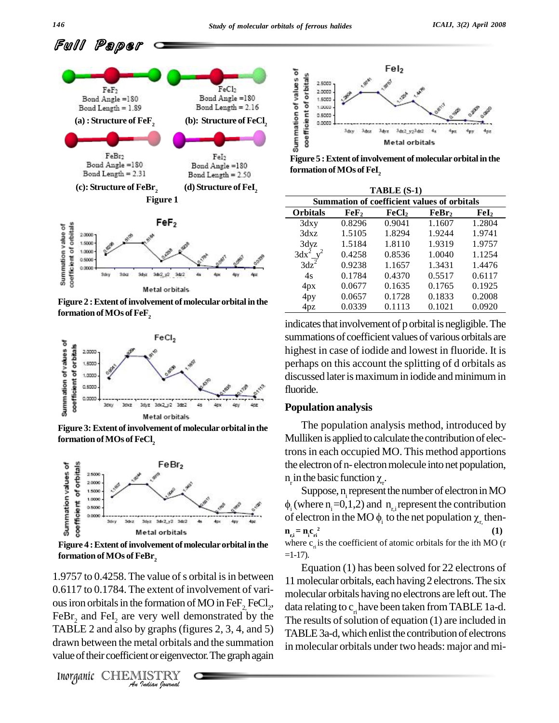Full Paper





**Figure** 2 **: Extent of involvement of molecular orbital in the formation** of MOs of FeF<sub>2</sub>



**Figure 3:Extent ofinvolvement of molecular orbital in the formation ofMOs of FeCl<sup>2</sup>**



**Figure 4 :Extent ofinvolvement ofmolecularorbital inthe formation ofMOs of FeBr 2**

ous iron orbitals in the formation of MO in  $\text{FeF}_2\text{FeCl}_2$ , da *I*<sub>2</sub>,  $F \in \text{Br}_2$  and FeI<sub>2</sub> are very well demonstrated if  $F \times 2$  and  $F \times 2$  and also by graphs (figures 2, 3, 4, and  $F \times 2$  and also by graphs (figures 2, 3, 4, and  $F \times 2$  and also by graphs (figures 2, 3, 4, and  $1.9757$  to  $0.4258$ . The value of s orbital is in between 0.6117 to 0.1784. The extent of involvement of vari- FeBr<sub>2</sub> and FeI<sub>2</sub> are very well demonstrated by the The re TABLE 2 and also by graphs (figures  $2, 3, 4$ , and  $5$ ) drawn between the metal orbitals and the summation value of their coefficient or eigenvector. The graph again





**Figure 5 :Extent ofinvolvement ofmolecularorbital inthe**  ${\bf formation\ of\ MOs\ of\ Fel}_2$ 

|                        |        | TABLE (S-1)       |                                                    |                  |
|------------------------|--------|-------------------|----------------------------------------------------|------------------|
|                        |        |                   | <b>Summation of coefficient values of orbitals</b> |                  |
| <b>Orbitals</b>        | FeF2   | FeCl <sub>2</sub> | FeBr,                                              | $\mathbf{FeI}_2$ |
| $3\,$ dxy              | 0.8296 | 0.9041            | 1.1607                                             | 1.2804           |
| 3dxz                   | 1.5105 | 1.8294            | 1.9244                                             | 1.9741           |
| 3dyz                   | 1.5184 | 1.8110            | 1.9319                                             | 1.9757           |
| $3dx^2$ v <sup>2</sup> | 0.4258 | 0.8536            | 1.0040                                             | 1.1254           |
| $3dz^2$                | 0.9238 | 1.1657            | 1.3431                                             | 1.4476           |
| 4s                     | 0.1784 | 0.4370            | 0.5517                                             | 0.6117           |
| 4px                    | 0.0677 | 0.1635            | 0.1765                                             | 0.1925           |
| 4py                    | 0.0657 | 0.1728            | 0.1833                                             | 0.2008           |
| 4pz                    | 0.0339 | 0.1113            | 0.1021                                             | 0.0920           |

indicates that involvement of p orbital is negligible. The summations of coefficient values of various orbitals are highest in case of iodide and lowest in fluoride. It is perhaps on this account the splitting of d orbitals as discussed later is maximum in iodide and minimum in fluoride.

### **Population analysis**

The population analysis method, introduced by Mulliken is applied to calculate the contribution of electrons in each occupied MO. This method apportions<br>the electron of n- electron molecule into net population,<br>n<sub>r</sub> in the basic function  $\chi_r$ .<br>Suppose, n<sub>r</sub> represent the number of electron in MO the electron of n- electron molecule into net population,  $n$  in the basic function  $\chi$ .

i (where  $n_i=0,1,2$ ) and  $n_{r,i}$  represent the contribution Suppose, n<sub>i</sub> represent the number of electron in MO  $\phi_i$  (where n<sub>i</sub>=0,1,2) and n<sub>r<sub>i</sub></sub> represent the contribution of electron in the MO  $\phi_i$  to the net population  $\chi_{r,i}$  then $n_{\text{ri}} = n_{\text{i}} c_{\text{ri}}^2$  $\frac{2}{\pi i}$  (1) where  $c_{\rm n}$  is the coefficient of atomic orbitals for the ith MO (r  $=1-17$ ).

data relating to c<sub>ri</sub> have been taken from TABLE 1a-d. Equation (1) has been solved for 22 electrons of 11molecular orbitals, each having 2 electrons.The six molecular orbitals having no electrons are left out.The The results of solution of equation  $(1)$  are included in TABLE 3a-d, which enlist the contribution of electrons in molecular orbitals under two heads: major and mi-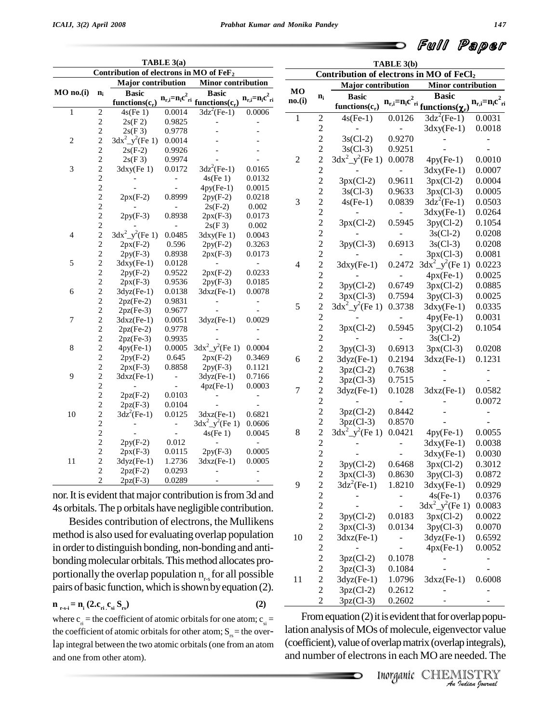|              |                                  | Contribution of electrons in MO of FeF <sub>2</sub>       | TABLE 3(a)               |                                                                     |                           |              |                | Contribution of electrons in MO of FeCl <sub>2</sub>    | TABLE 3(b)     |                                                                 |                           |
|--------------|----------------------------------|-----------------------------------------------------------|--------------------------|---------------------------------------------------------------------|---------------------------|--------------|----------------|---------------------------------------------------------|----------------|-----------------------------------------------------------------|---------------------------|
|              |                                  | <b>Major</b> contribution                                 |                          | <b>Minor contribution</b>                                           |                           |              |                |                                                         |                |                                                                 |                           |
| MO no.(i)    | $n_i$                            | <b>Basic</b><br>functions $(c_r)$                         |                          | <b>Basic</b><br>$n_{r,i} = n_i c^2_{ri}$ functions(c <sub>r</sub> ) | $n_{r,i}=n_{i}c_{ri}^{2}$ | MO<br>no.(i) | $n_i$          | Major contribution<br><b>Basic</b><br>functions $(c_r)$ |                | Minor contribution<br>$n_{r,i}=n_i c^2$ ri functions $(\chi_r)$ | $n_{r,i}=n_{i}c_{ri}^{2}$ |
| $\mathbf{1}$ | $\overline{\mathbf{c}}$          | $4s$ (Fe 1)                                               | 0.0014                   | $3dz^2$ (Fe-1)                                                      | 0.0006                    | 1            | $\sqrt{2}$     | $4s(Fe-1)$                                              | 0.0126         | $3dz^2$ (Fe-1)                                                  | 0.0031                    |
|              | $\overline{c}$                   | 2s(F2)                                                    | 0.9825                   |                                                                     |                           |              | $\sqrt{2}$     |                                                         |                | $3$ dxy(Fe-1)                                                   | 0.0018                    |
|              | $\overline{c}$                   | 2s(F3)                                                    | 0.9778                   |                                                                     |                           |              | $\overline{c}$ | $3s(Cl-2)$                                              | 0.9270         |                                                                 |                           |
| 2            | $\overline{c}$                   | $3dx^2_y^2$ (Fe 1)                                        | 0.0014                   |                                                                     |                           |              | $\sqrt{2}$     | $3s(Cl-3)$                                              | 0.9251         |                                                                 |                           |
|              | $\overline{c}$<br>$\overline{c}$ | $2s(F-2)$                                                 | 0.9926                   |                                                                     |                           |              |                | $3dx^2 - y^2$ (Fe 1)                                    |                |                                                                 |                           |
| 3            | $\overline{c}$                   | 2s(F3)                                                    | 0.9974                   | $3dz^2$ (Fe-1)                                                      |                           | $\mathbf{2}$ | $\overline{c}$ |                                                         | 0.0078         | $4py(Fe-1)$                                                     | 0.0010                    |
|              | $\overline{c}$                   | $3$ dxy(Fe $1)$                                           | 0.0172                   |                                                                     | 0.0165<br>0.0132          |              | $\overline{c}$ |                                                         |                | $3$ dxy(Fe-1)                                                   | 0.0007                    |
|              | $\overline{c}$                   |                                                           |                          | $4s$ (Fe 1)                                                         | 0.0015                    |              | $\sqrt{2}$     | $3px(Cl-2)$                                             | 0.9611         | $3px(Cl-2)$                                                     | 0.0004                    |
|              | $\overline{c}$                   | $2px(F-2)$                                                | 0.8999                   | $4py(Fe-1)$<br>$2py(F-2)$                                           | 0.0218                    |              | $\overline{c}$ | $3s(Cl-3)$                                              | 0.9633         | $3px(Cl-3)$                                                     | 0.0005                    |
|              | $\overline{c}$                   |                                                           |                          | $2s(F-2)$                                                           | 0.002                     | 3            | $\overline{c}$ | $4s(Fe-1)$                                              | 0.0839         | $3dz^2$ (Fe-1)                                                  | 0.0503                    |
|              | $\overline{c}$                   | $2py(F-3)$                                                | 0.8938                   | $2px(F-3)$                                                          | 0.0173                    |              | $\overline{c}$ |                                                         |                | $3$ dxy(Fe-1)                                                   | 0.0264                    |
|              |                                  |                                                           |                          | 2s(F3)                                                              | 0.002                     |              | $\overline{c}$ | $3px(Cl-2)$                                             | 0.5945         | $3py(Cl-2)$                                                     | 0.1054                    |
| 4            | $\frac{2}{2}$                    | $3dx^2_y^2$ (Fe 1)                                        | 0.0485                   | $3$ dxy(Fe $1)$                                                     | 0.0043                    |              |                |                                                         |                | $3s(C1-2)$                                                      | 0.0208                    |
|              | $\overline{c}$                   | $2px(F-2)$                                                | 0.596                    | $2py(F-2)$                                                          | 0.3263                    |              | $\frac{2}{2}$  | $3py(Cl-3)$                                             | 0.6913         | $3s(C1-3)$                                                      | 0.0208                    |
|              | $\overline{c}$                   | $2py(F-3)$                                                | 0.8938                   | $2px(F-3)$                                                          | 0.0173                    |              | $\overline{c}$ |                                                         |                | $3px(Cl-3)$                                                     | 0.0081                    |
| 5            | $\overline{c}$                   | $3$ dxy(Fe-1)                                             | 0.0128                   |                                                                     | $\blacksquare$            | 4            | $\overline{c}$ | $3$ dxy(Fe-1)                                           |                | 0.2472 $3dx^2$ $y^2$ (Fe 1)                                     | 0.0223                    |
|              | $\overline{c}$                   | $2py(F-2)$                                                | 0.9522                   | $2px(F-2)$                                                          | 0.0233                    |              | $\overline{c}$ |                                                         |                | $4px(Fe-1)$                                                     | 0.0025                    |
|              | $\overline{c}$                   | $2px(F-3)$                                                | 0.9536                   | $2py(F-3)$                                                          | 0.0185                    |              | $\sqrt{2}$     |                                                         |                |                                                                 |                           |
| 6            | $\overline{c}$                   | $3dyz(Fe-1)$                                              | 0.0138                   | $3dxz(Fe-1)$                                                        | 0.0078                    |              |                | $3py(Cl-2)$                                             | 0.6749         | $3px(Cl-2)$                                                     | 0.0885                    |
|              | $\overline{c}$                   | $2pz(Fe-2)$                                               | 0.9831                   |                                                                     | $\overline{\phantom{a}}$  |              | $\overline{c}$ | $3px(Cl-3)$                                             | 0.7594         | $3py(Cl-3)$                                                     | 0.0025                    |
|              | $\overline{c}$                   | $2pz(Fe-3)$                                               | 0.9677                   |                                                                     |                           | 5            | $\overline{2}$ | $3dx^2$ $y^2$ (Fe 1)                                    | 0.3738         | $3$ dxy(Fe-1)                                                   | 0.0335                    |
| 7            | $\overline{c}$                   | $3dxz(Fe-1)$                                              | 0.0051                   | $3dyz(Fe-1)$                                                        | 0.0029                    |              | $\overline{c}$ |                                                         |                | $4py(Fe-1)$                                                     | 0.0031                    |
|              | $\overline{c}$                   | $2pz(Fe-2)$                                               | 0.9778                   |                                                                     |                           |              | $\overline{c}$ | $3px(Cl-2)$                                             | 0.5945         | $3py(Cl-2)$                                                     | 0.1054                    |
|              | $\overline{c}$                   | $2pz(Fe-3)$                                               | 0.9935                   |                                                                     |                           |              | $\overline{c}$ |                                                         |                | $3s(Cl-2)$                                                      |                           |
| 8            | $\overline{c}$                   | $4py(Fe-1)$                                               | 0.0005                   | $3dx^2$ _y <sup>2</sup> (Fe 1)                                      | 0.0004                    |              | $\overline{c}$ | $3py(Cl-3)$                                             | 0.6913         | $3px(Cl-3)$                                                     | 0.0208                    |
|              | $\overline{c}$                   | $2py(F-2)$                                                | 0.645                    | $2px(F-2)$                                                          | 0.3469                    | 6            | $\overline{c}$ | $3dyz(Fe-1)$                                            | 0.2194         | $3dxz(Fe-1)$                                                    | 0.1231                    |
|              | $\overline{c}$                   | $2px(F-3)$                                                | 0.8858                   | $2py(F-3)$                                                          | 0.1121                    |              | $\overline{c}$ | $3pz(Cl-2)$                                             | 0.7638         |                                                                 | $\frac{1}{2}$             |
| 9            | $\overline{c}$                   | $3dxz(Fe-1)$                                              |                          | $3dyz(Fe-1)$                                                        | 0.7166                    |              | $\overline{c}$ | $3pz(Cl-3)$                                             | 0.7515         |                                                                 |                           |
|              | $\overline{c}$                   |                                                           |                          | $4pz(Fe-1)$                                                         | 0.0003                    | $\tau$       | $\overline{c}$ | $3dyz(Fe-1)$                                            | 0.1028         | $3dxz(Fe-1)$                                                    | 0.0582                    |
|              | $\overline{c}$                   | $2pz(F-2)$                                                | 0.0103                   |                                                                     | $\overline{\phantom{a}}$  |              | $\overline{c}$ |                                                         |                |                                                                 | 0.0072                    |
|              | $\overline{\mathbf{c}}$          | $2pz(F-3)$                                                | 0.0104                   |                                                                     |                           |              | $\overline{c}$ | $3pz(Cl-2)$                                             | 0.8442         |                                                                 | $\blacksquare$            |
| 10           | $\overline{c}$                   | $3dz^2$ (Fe-1)                                            | 0.0125                   | $3dxz(Fe-1)$                                                        | 0.6821                    |              |                |                                                         | 0.8570         |                                                                 |                           |
|              | $\overline{c}$                   |                                                           | $\overline{a}$           | $3dx^2 - y^2$ (Fe 1)                                                | 0.0606                    |              | $\overline{c}$ | $3pz(Cl-3)$                                             |                |                                                                 |                           |
|              | $\overline{c}$                   |                                                           | $\overline{\phantom{a}}$ | $4s$ (Fe 1)                                                         | 0.0045                    | 8            | $\overline{c}$ | $3dx^2$ $y^2$ (Fe 1)                                    | 0.0421         | $4py(Fe-1)$                                                     | 0.0055                    |
|              | $\overline{c}$                   | $2py(F-2)$                                                | 0.012                    |                                                                     |                           |              | $\overline{c}$ |                                                         | $\blacksquare$ | $3$ dxy(Fe-1)                                                   | 0.0038                    |
|              | $\overline{2}$                   | $2px(F-3)$                                                | 0.0115                   | $2py(F-3)$                                                          | 0.0005                    |              | $\overline{c}$ |                                                         |                | $3$ dxy(Fe-1)                                                   | 0.0030                    |
| 11           | $\overline{c}$                   | $3dyz(Fe-1)$                                              | 1.2736                   | $3dxz(Fe-1)$                                                        | 0.0005                    |              | $\overline{c}$ | $3py(Cl-2)$                                             | 0.6468         | $3px(Cl-2)$                                                     | 0.3012                    |
|              | $\mathbf{2}$                     | $2pz(F-2)$                                                | 0.0293                   |                                                                     | $\overline{a}$            |              | $\overline{c}$ | $3px(Cl-3)$                                             | 0.8630         | $3py(Cl-3)$                                                     | 0.0872                    |
|              | $\overline{c}$                   | $2pz(F-3)$                                                | 0.0289                   |                                                                     |                           | 9            | $\overline{c}$ | $3dz^2$ (Fe-1)                                          | 1.8210         | $3$ dxy(Fe-1)                                                   | 0.0929                    |
|              |                                  | nor. It is evident that major contribution is from 3d and |                          |                                                                     |                           |              | $\overline{2}$ | $\sim$                                                  |                | $4s(Fe-1)$                                                      | 0.0376                    |

nor. It is evident that major contribution is from 3d and 4s orbitals.The p orbitals have negligible contribution.

Besides contribution of electrons, the Mullikens method is also used for evaluating overlap population  $10^{-10}$ in order to distinguish bonding, non-bonding and antibonding molecular orbitals. This method allocates proportionally the overlap population  $n_{rs}$  for all possible  $11$ pairs of basic function, which is shown by equation (2).

$$
\mathbf{n}_{\text{r-s-i}} = \mathbf{n}_{\text{i}} \left( 2 \cdot \mathbf{c}_{\text{ri}} \cdot \mathbf{c}_{\text{si}} \, \mathbf{S}_{\text{rs}} \right) \tag{2}
$$

where  $c_{\rm r}$  = the coefficient of atomic orbitals for one atom;  $c_{\rm s}$  = the coefficient of atomic orbitals for other atom;  $S_{rs}$  = the overlap integral between the two atomic orbitals(one from an atom and one from other atom).

*I* is evident that for overlap popu-<br>of molecule, eigenvector value<br>verlap matrix (overlap integrals),<br>ns in each MO are needed. The<br>Inorganic CHEMISTRY From equation  $(2)$  it is evident that for overlap population analysis of MOs of molecule, eigenvector value (coefficient), value of overlap matrix (overlap integrals), and number of electrons in each MO are needed. The

 $3pz(Cl-3)$  0.1084

2  $3pz(Cl-2)$  0.2612 2  $3pz(Cl-3)$  0.2602

2 -  $3dx^2_y^2$ (Fe 1) 0.0083

 3py(Cl-2) 0.0183 3px(Cl-2) 0.0022 2 3px(Cl-3) 0.0134 3py(Cl-3) 0.0070<br>2 3dxz(Fe-1) - 3dyz(Fe-1) 0.6592  $3dxz(Fe-1)$  -  $3dyz(Fe-1)$  0.6592 2 - - 4px(Fe-1) 0.0052 2 3pz(Cl-2) 0.1078 - - -<br>2 3pz(Cl-3) 0.1084 - - -

2 3dyz(Fe-1) 1.0796 3dxz(Fe-1) 0.6008

*An*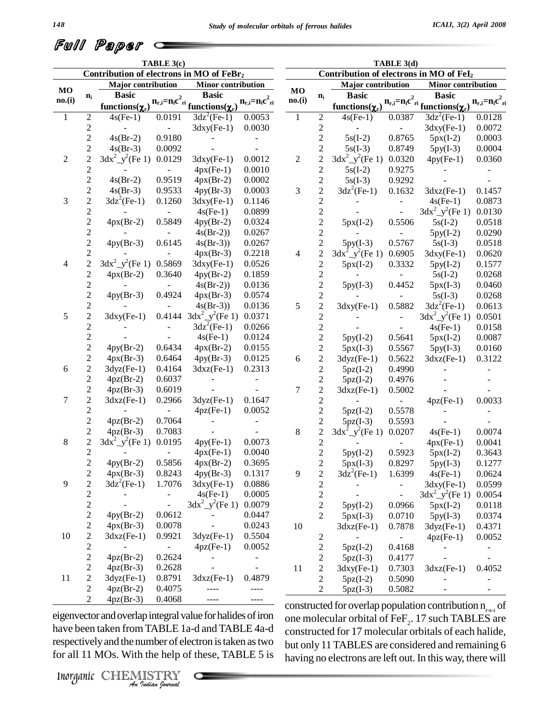| Full Paper c |  |
|--------------|--|
|--------------|--|

|                |                              |                                          | TABLE 3(c)                   |                                                 |                          |                |                                |                                         | TABLE 3(d) |                                           |                          |
|----------------|------------------------------|------------------------------------------|------------------------------|-------------------------------------------------|--------------------------|----------------|--------------------------------|-----------------------------------------|------------|-------------------------------------------|--------------------------|
|                |                              | Contribution of electrons in MO of FeBr2 |                              |                                                 |                          |                |                                | Contribution of electrons in MO of FeI2 |            |                                           |                          |
| MO             |                              | <b>Major</b> contribution                |                              | <b>Minor contribution</b>                       |                          | <b>MO</b>      |                                | <b>Major</b> contribution               |            | Minor contribution                        |                          |
| no.(i)         | $n_i$                        | <b>Basic</b>                             |                              |                                                 | $n_{r,i} = n_i c_{ri}^2$ | no.(i)         | $n_i$                          | <b>Basic</b>                            |            |                                           | $n_{r,i} = n_i c_{ri}^2$ |
|                |                              | functions( $\chi_r$ )                    |                              | $n_{r,i} = n_i c^2_{ri}$ functions ( $\chi_r$ ) |                          |                |                                | functions( $\chi_{r}$ )                 |            | $n_{r,i}=n_i c^2$ ri functions $(\chi_r)$ |                          |
| 1              | $\overline{c}$               | $4s(Fe-1)$                               | 0.0191                       | $3dz^2$ (Fe-1)                                  | 0.0053                   | 1              | $\sqrt{2}$                     | $4s(Fe-1)$                              | 0.0387     | $3dz^2$ (Fe-1)                            | 0.0128                   |
|                | $\overline{c}$               |                                          |                              | $3$ dxy $(Fe-1)$                                | 0.0030                   |                | $\sqrt{2}$                     |                                         |            | $3$ dxy $(Fe-1)$                          | 0.0072                   |
|                | $\overline{c}$               | $4s(Br-2)$                               | 0.9180                       |                                                 |                          |                | $\sqrt{2}$                     | $5s(I-2)$                               | 0.8765     | $5px(I-2)$                                | 0.0003                   |
|                | $\overline{c}$               | $4s(Br-3)$                               | 0.0092                       |                                                 |                          |                | $\boldsymbol{2}$               | $5s(I-3)$                               | 0.8749     | $5py(I-3)$                                | 0.0004                   |
| $\overline{c}$ | $\overline{c}$               | $3dx^2$ $y^2$ (Fe 1)                     | 0.0129                       | $3$ dxy(Fe-1)                                   | 0.0012                   | $\overline{c}$ | $\overline{c}$                 | $3dx^2 - y^2$ (Fe 1)                    | 0.0320     | $4py(Fe-1)$                               | 0.0360                   |
|                | $\overline{c}$               |                                          |                              | $4px(Fe-1)$                                     | 0.0010                   |                | $\overline{c}$                 | $5s(I-2)$                               | 0.9275     |                                           |                          |
|                | $\overline{\mathbf{c}}$      | $4s(Br-2)$                               | 0.9519                       | $4px(Br-2)$                                     | 0.0002                   |                | $\overline{c}$                 | $5s(I-3)$                               | 0.9292     |                                           |                          |
|                | $\overline{\mathbf{c}}$      | $4s(Br-3)$                               | 0.9533                       | $4py(Br-3)$                                     | 0.0003                   | 3              | $\sqrt{2}$                     | $3dz^2$ (Fe-1)                          | 0.1632     | $3dxz(Fe-1)$                              | 0.1457                   |
| 3              | $\overline{c}$               | $3dz^2$ (Fe-1)                           | 0.1260                       | $3$ dxy $(Fe-1)$                                | 0.1146                   |                | $\overline{c}$                 |                                         |            | $4s(Fe-1)$                                | 0.0873                   |
|                | $\overline{\mathbf{c}}$      |                                          |                              | $4s(Fe-1)$                                      | 0.0899                   |                | $\overline{c}$                 |                                         |            | $3dx^2$ $y^2$ (Fe 1)                      | 0.0130                   |
|                | $\overline{\mathbf{c}}$      | $4px(Br-2)$                              | 0.5849                       | $4py(Br-2)$                                     | 0.0324                   |                | $\sqrt{2}$                     | $5px(I-2)$                              | 0.5506     | $5s(I-2)$                                 | 0.0518                   |
|                | $\overline{\mathbf{c}}$      |                                          |                              | $4s(Br-2)$                                      | 0.0267                   |                | $\sqrt{2}$                     |                                         |            | $5py(I-2)$                                | 0.0290                   |
|                | $\overline{\mathbf{c}}$      | $4py(Br-3)$                              | 0.6145                       | $4s(Br-3)$                                      | 0.0267                   |                | $\sqrt{2}$                     | $5py(I-3)$                              | 0.5767     | $5s(I-3)$                                 | 0.0518                   |
|                | $\overline{\mathbf{c}}$      |                                          |                              | $4px(Br-3)$                                     | 0.2218                   | $\overline{4}$ | $\overline{c}$                 | $3dx^2$ $y^2$ (Fe 1)                    | 0.6905     | $3$ dxy(Fe-1)                             | 0.0620                   |
| 4              | $\overline{c}$               | $3dx^2$ $y^2$ (Fe 1)                     | 0.5869                       | $3$ dxy(Fe-1)                                   | 0.0526                   |                | $\overline{c}$                 | $5px(I-2)$                              | 0.3332     | $5py(I-2)$                                | 0.1577                   |
|                | $\overline{\mathbf{c}}$      | $4px(Br-2)$                              | 0.3640                       | $4py(Br-2)$                                     | 0.1859                   |                | $\overline{c}$                 |                                         |            | $5s(I-2)$                                 | 0.0268                   |
|                | $\overline{c}$               |                                          |                              | $4s(Br-2)$                                      | 0.0136                   |                | $\overline{c}$                 | $5py(I-3)$                              | 0.4452     | $5px(I-3)$                                | 0.0460                   |
|                | $\overline{\mathbf{c}}$      | $4py(Br-3)$                              | 0.4924                       | $4px(Br-3)$                                     | 0.0574                   |                | $\overline{c}$                 |                                         |            | $5s(I-3)$                                 | 0.0268                   |
|                | $\overline{\mathbf{c}}$      |                                          |                              | $4s(Br-3))$                                     | 0.0136                   | 5              | $\sqrt{2}$                     | $3$ dxy $(Fe-1)$                        | 0.5882     | $3dz^2$ (Fe-1)                            | 0.0613                   |
| 5              | $\overline{c}$               | $3$ dxy(Fe-1)                            |                              | 0.4144 $3dx^2-y^2$ (Fe 1)                       | 0.0371                   |                | $\sqrt{2}$                     |                                         |            | $3dx^2 - y^2$ (Fe 1)                      | 0.0501                   |
|                | $\overline{\mathbf{c}}$      |                                          |                              | $3dz^2$ (Fe-1)                                  | 0.0266                   |                | $\overline{c}$                 |                                         |            | $4s(Fe-1)$                                | 0.0158                   |
|                | $\overline{c}$               |                                          |                              | $4s(Fe-1)$                                      | 0.0124                   |                | $\sqrt{2}$                     | $5py(I-2)$                              | 0.5641     | $5px(I-2)$                                | 0.0087                   |
|                | $\overline{c}$               | $4py(Br-2)$                              | 0.6434                       | $4px(Br-2)$                                     | 0.0155                   |                | $\sqrt{2}$                     | $5px(I-3)$                              | 0.5567     | $5py(I-3)$                                | 0.0160                   |
|                | $\overline{\mathbf{c}}$      | $4px(Br-3)$                              | 0.6464                       | $4py(Br-3)$                                     | 0.0125                   | 6              | $\overline{c}$                 | $3dyz(Fe-1)$                            | 0.5622     | $3dxz(Fe-1)$                              | 0.3122                   |
| 6              | $\overline{c}$               | $3dyz(Fe-1)$                             | 0.4164                       | $3dxz(Fe-1)$                                    | 0.2313                   |                | $\sqrt{2}$                     | $5pz(I-2)$                              | 0.4990     |                                           |                          |
|                | $\overline{c}$               | $4pz(Br-2)$                              | 0.6037                       |                                                 |                          |                | $\sqrt{2}$                     | $5pz(I-2)$                              | 0.4976     |                                           |                          |
|                | $\overline{\mathbf{c}}$      | $4pz(Br-3)$                              | 0.6019                       |                                                 |                          | 7              | $\overline{c}$                 | $3dxz(Fe-1)$                            | 0.5002     |                                           |                          |
| 7              | $\overline{c}$               | $3dxz(Fe-1)$                             | 0.2966                       | $3dyz(Fe-1)$                                    | 0.1647                   |                | $\overline{c}$                 |                                         |            | $4pz(Fe-1)$                               | 0.0033                   |
|                | $\overline{c}$               |                                          |                              | $4pz(Fe-1)$                                     | 0.0052                   |                | $\sqrt{2}$                     | $5pz(I-2)$                              | 0.5578     |                                           |                          |
|                | $\overline{\mathbf{c}}$      | $4pz(Br-2)$                              | 0.7064                       |                                                 |                          |                | $\boldsymbol{2}$               | $5pz(I-3)$                              | 0.5593     |                                           |                          |
|                | $\overline{\mathbf{c}}$      | $4pz(Br-3)$                              | 0.7083                       |                                                 |                          | $\,8\,$        | $\overline{c}$                 | $3dx^2$ $y^2$ (Fe 1)                    | 0.0207     | $4s(Fe-1)$                                | 0.0074                   |
| 8              | $\overline{c}$               | $3dx^2$ $y^2$ (Fe 1)                     | 0.0195                       | $4py(Fe-1)$                                     | 0.0073                   |                | $\overline{c}$                 |                                         |            | $4px(Fe-1)$                               | 0.0041                   |
|                | $\overline{c}$               |                                          |                              | $4px(Fe-1)$                                     | 0.0040                   |                | $\overline{c}$                 | $5py(I-2)$                              | 0.5923     | $5px(I-2)$                                | 0.3643                   |
|                | $\overline{c}$               | $4py(Br-2)$                              | 0.5856                       | $4px(Br-2)$                                     | 0.3695                   |                | $\overline{c}$                 | $5px(I-3)$                              | 0.8297     |                                           | 0.1277                   |
|                | $\overline{\mathbf{c}}$      | $4px(Br-3)$                              | 0.8243                       | $4py(Br-3)$                                     | 0.1317                   | 9              | $\overline{c}$                 | $3dz^2$ (Fe-1)                          | 1.6399     | $5py(I-3)$<br>$4s(Fe-1)$                  | 0.0624                   |
| 9              | $\overline{\mathbf{c}}$      | $3dz^2$ (Fe-1)                           | 1.7076                       | $3$ dxy $(Fe-1)$                                | 0.0886                   |                | $\boldsymbol{2}$               |                                         |            | $3$ dxy(Fe-1)                             | 0.0599                   |
|                | $\overline{c}$               |                                          |                              | $4s(Fe-1)$                                      | 0.0005                   |                | $\sqrt{2}$                     |                                         |            | $3dx^2$ $y^2$ (Fe 1)                      | 0.0054                   |
|                | $\overline{c}$               |                                          |                              | $3dx^2$ $y^2$ (Fe 1) 0.0079                     |                          |                |                                |                                         |            |                                           |                          |
|                | $\overline{c}$               | $4py(Br-2)$                              | 0.0612                       |                                                 |                          |                | $\mathbf{2}$<br>$\overline{2}$ | $5py(I-2)$                              | 0.0966     | $5px(I-2)$                                | 0.0118                   |
|                |                              |                                          | 0.0078                       |                                                 | 0.0447<br>0.0243         |                |                                | $5px(I-3)$                              | 0.0710     | $5py(I-3)$                                | 0.0374                   |
|                | $\overline{c}$               | $4px(Br-3)$                              |                              | $3dyz(Fe-1)$                                    |                          | 10             |                                | $3dxz(Fe-1)$                            | 0.7878     | $3dyz(Fe-1)$                              | 0.4371                   |
| 10             | $\overline{\mathbf{c}}$      | $3dxz(Fe-1)$                             | 0.9921                       |                                                 | 0.5504                   |                | $\overline{c}$                 |                                         |            | $4pz(Fe-1)$                               | 0.0052                   |
|                | $\overline{c}$               |                                          | $\qquad \qquad \blacksquare$ | $4pz(Fe-1)$                                     | 0.0052                   |                | $\boldsymbol{2}$               | $5pz(I-2)$                              | 0.4168     |                                           |                          |
|                | $\overline{c}$               | $4pz(Br-2)$                              | 0.2624                       |                                                 |                          |                | $\mathbf{2}$                   | $5pz(I-3)$                              | 0.4177     |                                           | L,                       |
|                | 2                            | $4pz(Br-3)$                              | 0.2628                       |                                                 | $\overline{a}$           | 11             | $\mathbf{2}$                   | $3$ dxy $(Fe-1)$                        | 0.7303     | $3dxz(Fe-1)$                              | 0.4052                   |
| 11             | $\overline{c}$               | $3dyz(Fe-1)$                             | 0.8791                       | $3dxz(Fe-1)$                                    | 0.4879                   |                | $\sqrt{2}$                     | $5pz(I-2)$                              | 0.5090     |                                           |                          |
|                | $\overline{\mathbf{c}}$<br>2 | $4pz(Br-2)$<br>$4pz(Br-3)$               | 0.4075<br>0.4068             | $- - - -$                                       | ----<br>----             |                | 2                              | $5pz(I-3)$                              | 0.5082     | $\overline{\phantom{a}}$                  |                          |

eigenvector and overlap integral value for halides of iron one mo *Indian*<br> *Indian Indian*<br> *Indian*<br> *Inorganic* CHEMISTRY<br> *Inorganic* CHEMISTRY have been taken from TABLE 1a-d and TABLE 4a-d respectivelyand the number of electron istaken astwo for all 11 MOs. With the help of these, TABLE 5 is

constructed for overlap population contribution  $n_{r-s-i}$  of one molecular orbital of FeF $_2$ . 17 such TABLES are constructed for 17 molecular orbitals of each halide, but only 11TABLES are considered and remaining 6 having no electrons are left out. In this way, there will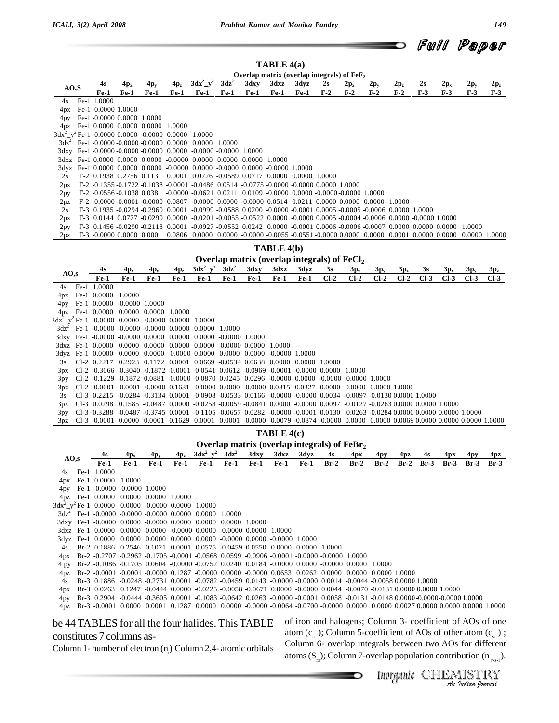

|       |                           |        |                                                                  |        |                                                                                                                                         |         |        | TABLE 4(a)                                   |        |       |        |          |        |       |        |          |        |
|-------|---------------------------|--------|------------------------------------------------------------------|--------|-----------------------------------------------------------------------------------------------------------------------------------------|---------|--------|----------------------------------------------|--------|-------|--------|----------|--------|-------|--------|----------|--------|
|       |                           |        |                                                                  |        |                                                                                                                                         |         |        | Overlap matrix (overlap integrals) of $FeF2$ |        |       |        |          |        |       |        |          |        |
| AO, S | 4s                        | $4p_x$ | $4p_v$                                                           | $4p_z$ | $3dx^2 - y^2$                                                                                                                           | $3dz^2$ | 3dxy   | 3dxz                                         | 3dyz   | 2s    | $2p_x$ | $2p_{y}$ | $2p_z$ | 2s    | $2p_x$ | $2p_{v}$ | $2p_z$ |
|       | $Fe-1$                    | Fe-1   | $Fe-1$                                                           | $Fe-1$ | $Fe-1$                                                                                                                                  | $Fe-1$  | $Fe-1$ | Fe-1                                         | $Fe-1$ | $F-2$ | $F-2$  | $F-2$    | $F-2$  | $F-3$ | $F-3$  | $F-3$    | $F-3$  |
|       | 4s Fe-1 1.0000            |        |                                                                  |        |                                                                                                                                         |         |        |                                              |        |       |        |          |        |       |        |          |        |
| 4px   | Fe-1 -0.0000 1.0000       |        |                                                                  |        |                                                                                                                                         |         |        |                                              |        |       |        |          |        |       |        |          |        |
| 4py   | Fe-1-0.0000 0.0000 1.0000 |        |                                                                  |        |                                                                                                                                         |         |        |                                              |        |       |        |          |        |       |        |          |        |
| 4pz   |                           |        | Fe-1 0.0000 0.0000 0.0000 1.0000                                 |        |                                                                                                                                         |         |        |                                              |        |       |        |          |        |       |        |          |        |
|       |                           |        | $3dx^2$ y <sup>2</sup> Fe-1 -0.0000 0.0000 -0.0000 0.0000 1.0000 |        |                                                                                                                                         |         |        |                                              |        |       |        |          |        |       |        |          |        |
|       |                           |        |                                                                  |        | $3dz^2$ Fe-1 -0.0000 -0.0000 -0.0000 0.0000 0.0000 1.0000                                                                               |         |        |                                              |        |       |        |          |        |       |        |          |        |
|       |                           |        |                                                                  |        | 3dxy Fe-1-0.0000-0.0000-0.0000 0.0000-0.0000-0.0000 1.0000                                                                              |         |        |                                              |        |       |        |          |        |       |        |          |        |
|       |                           |        |                                                                  |        | 3dxz Fe-1 0.0000 0.0000 0.0000 -0.0000 0.0000 0.0000 0.0000 1.0000                                                                      |         |        |                                              |        |       |        |          |        |       |        |          |        |
|       |                           |        |                                                                  |        | 3dyz Fe-1 0.0000 0.0000 0.0000 -0.0000 0.0000 -0.0000 0.0000 -0.0000 1.0000                                                             |         |        |                                              |        |       |        |          |        |       |        |          |        |
| 2s    |                           |        |                                                                  |        | F-2 0.1938 0.2756 0.1131 0.0001 0.0726 -0.0589 0.0717 0.0000 0.0000 1.0000                                                              |         |        |                                              |        |       |        |          |        |       |        |          |        |
| 2px   |                           |        |                                                                  |        | $F-2$ $-0.1355 -0.1722 -0.1038 -0.0001 -0.0486 -0.0514 -0.0775 -0.0000 -0.0000 -0.0000 -1.0000$                                         |         |        |                                              |        |       |        |          |        |       |        |          |        |
| 2py   |                           |        |                                                                  |        | F-2 -0.0556 -0.1038 0.0381 -0.0000 -0.0621 0.0211 0.0109 -0.0000 0.0000 -0.0000 -0.0000 1.0000                                          |         |        |                                              |        |       |        |          |        |       |        |          |        |
| 2pz   |                           |        |                                                                  |        | $F-2 -0.0000 -0.0001 -0.0000$ $0.0807 -0.0000$ $0.0000 -0.0000$ $0.0514$ $0.0211$ $0.0000$ $0.0000$ $0.0000$ $1.0000$                   |         |        |                                              |        |       |        |          |        |       |        |          |        |
| 2s    |                           |        |                                                                  |        | F-3 0.1935 -0.0294 -0.2960 0.0001 -0.0999 -0.0588 0.0200 -0.0000 -0.0001 0.0005 -0.0005 -0.0006 0.0000 1.0000                           |         |        |                                              |        |       |        |          |        |       |        |          |        |
| 2px   |                           |        |                                                                  |        | $F-3$ 0.0144 0.0777 -0.0290 0.0000 -0.0201 -0.0055 -0.0522 0.0000 -0.0000 0.0005 -0.0004 -0.0006 0.0000 -0.0000 1.0000                  |         |        |                                              |        |       |        |          |        |       |        |          |        |
| 2py   |                           |        |                                                                  |        | F-3 0.1456 -0.0290 -0.2118 0.0001 -0.0927 -0.0552 0.0242 0.0000 -0.0001 0.0006 -0.0006 -0.0007 0.0000 0.0000 0.0000                     |         |        |                                              |        |       |        |          |        |       |        | 1.0000   |        |
| 2pz   |                           |        |                                                                  |        | F-3 -0.0000 0.0000 0.0000 0.0001 0.0806 0.0000 0.0000 -0.0000 -0.00055 -0.0551 -0.0000 0.0000 0.0000 0.0000 0.0000 0.0000 0.0000 1.0000 |         |        |                                              |        |       |        |          |        |       |        |          |        |

### **TABLE 4(b)**

|                 |                                                                                                                                                |        |             |        |               |         |               | Overlap matrix (overlap integrals) of $FeCl2$ |             |        |          |               |        |        |        |        |        |
|-----------------|------------------------------------------------------------------------------------------------------------------------------------------------|--------|-------------|--------|---------------|---------|---------------|-----------------------------------------------|-------------|--------|----------|---------------|--------|--------|--------|--------|--------|
| AO,s            | 4s                                                                                                                                             | $4p_x$ | $4p_v$      | $4p_z$ | $3dx^2 - y^2$ | $3dz^2$ | 3dxy          | 3dxz                                          | 3dyz        | 3s     | $3p_x$   | $3p_y$        | $3p_z$ | 3s     | $3p_x$ | $3p_y$ | $3p_z$ |
|                 | Fe-1                                                                                                                                           | Fe-1   | <b>Fe-1</b> | Fe-1   | $_{\rm Fe-1}$ | $Fe-1$  | $_{\rm Fe-1}$ | $Fe-1$                                        | <b>Fe-1</b> | $Cl-2$ | $Cl-2$   | $Cl-2$        | $CL-2$ | $Cl-3$ | $CL-3$ | $CL-3$ | $Cl-3$ |
| 4s              | Fe-1 1.0000                                                                                                                                    |        |             |        |               |         |               |                                               |             |        |          |               |        |        |        |        |        |
| 4px             | Fe-1 0.0000                                                                                                                                    | 1.0000 |             |        |               |         |               |                                               |             |        |          |               |        |        |        |        |        |
| 4py             | Fe-1 0.0000 -0.0000 1.0000                                                                                                                     |        |             |        |               |         |               |                                               |             |        |          |               |        |        |        |        |        |
| 4 <sub>pz</sub> | Fe-1 0.0000 0.0000 0.0000 1.0000                                                                                                               |        |             |        |               |         |               |                                               |             |        |          |               |        |        |        |        |        |
|                 | $3dx^2$ y <sup>2</sup> Fe-1 -0.0000 0.0000 -0.0000 0.0000 1.0000                                                                               |        |             |        |               |         |               |                                               |             |        |          |               |        |        |        |        |        |
|                 | $3dz^2$ Fe-1 -0.0000 -0.0000 -0.0000 0.0000 0.0000                                                                                             |        |             |        |               | 1.0000  |               |                                               |             |        |          |               |        |        |        |        |        |
|                 | 3dxy Fe-1 -0.0000 -0.0000 0.0000 0.0000 0.0000 -0.0000 1.0000                                                                                  |        |             |        |               |         |               |                                               |             |        |          |               |        |        |        |        |        |
|                 | 3dxz Fe-1 0.0000 0.0000 0.0000 0.0000 0.0000 -0.0000 0.0000                                                                                    |        |             |        |               |         |               | -1.0000                                       |             |        |          |               |        |        |        |        |        |
|                 | 3dyz Fe-1 0.0000 0.0000 0.0000 -0.0000 0.0000 0.0000 0.0000 -0.0000 1.0000                                                                     |        |             |        |               |         |               |                                               |             |        |          |               |        |        |        |        |        |
| 3s              | $Cl-2$ 0.2217 0.2923 0.1172 0.0001 0.0669 -0.0534 0.0638 0.0000 0.0000                                                                         |        |             |        |               |         |               |                                               |             | 1.0000 |          |               |        |        |        |        |        |
| 3px             | $Cl-2$ $-0.3066$ $-0.3040$ $-0.1872$ $-0.0001$ $-0.0541$ $0.0612$ $-0.0969$ $-0.0001$ $-0.0000$ $0.0000$                                       |        |             |        |               |         |               |                                               |             |        | -1.0000  |               |        |        |        |        |        |
| 3py             | $C1-2$ $-0.1229$ $-0.1872$ $0.0881$ $-0.0000$ $-0.0870$ $0.0245$ $0.0296$ $-0.0000$ $0.0000$ $-0.0000$ $-0.0000$ $1.0000$                      |        |             |        |               |         |               |                                               |             |        |          |               |        |        |        |        |        |
| 3p <sub>Z</sub> | $Cl-2$ $-0.0001$ $-0.0001$ $-0.0000$ $0.1631$ $-0.0000$ $0.0000$ $-0.0000$ $0.0815$ $0.0327$ $0.0000$                                          |        |             |        |               |         |               |                                               |             |        | - 0.0000 | 0.0000 1.0000 |        |        |        |        |        |
|                 | $C1-3$ 0.2215 -0.0284 -0.3134 0.0001 -0.0908 -0.0533 0.0166 -0.0000 -0.0000 0.0034 -0.0097 -0.0130 0.0000 1.0000                               |        |             |        |               |         |               |                                               |             |        |          |               |        |        |        |        |        |
| 3px             | Cl-3 0.0298 0.1585 -0.0487 0.0000 -0.0258 -0.0059 -0.0841 0.0000 -0.0000 0.0097 -0.0127 -0.0263 0.0000 0.0000 1.0000                           |        |             |        |               |         |               |                                               |             |        |          |               |        |        |        |        |        |
| 3py             | $C1-3$ 0.3288 $-0.0487$ $-0.3745$ 0.0001 $-0.1105$ $-0.0657$ 0.0282 $-0.0000$ $-0.0001$ 0.0130 $-0.0263$ $-0.0284$ 0.0000 0.0000 0.0000 1.0000 |        |             |        |               |         |               |                                               |             |        |          |               |        |        |        |        |        |
| 3pz             | $C1-3$ $-0.0001$ 0.0000 0.0001 0.1629 0.0001 0.0001 -0.0000 -0.0079 -0.0874 -0.0000 0.0000 0.0000 0.0069 0.0000 0.0000 0.0000 1.0000           |        |             |        |               |         |               |                                               |             |        |          |               |        |        |        |        |        |

|                 | TABLE 4(c) |                                                                 |                                               |             |        |               |         |        |                                                                                                                                  |        |         |        |        |        |        |        |        |        |
|-----------------|------------|-----------------------------------------------------------------|-----------------------------------------------|-------------|--------|---------------|---------|--------|----------------------------------------------------------------------------------------------------------------------------------|--------|---------|--------|--------|--------|--------|--------|--------|--------|
|                 |            |                                                                 | Overlap matrix (overlap integrals) of $FeBr2$ |             |        |               |         |        |                                                                                                                                  |        |         |        |        |        |        |        |        |        |
| AO,s            |            | 4s                                                              | $4p_x$                                        | $4p_v$      | $4p_z$ | $3dx^2$ $y^2$ | $3dz^2$ | 3dxy   | 3dxz                                                                                                                             | 3dyz   | 4s      | 4px    | 4py    | 4pz    | 4s     | 4px    | 4py    | 4pz    |
|                 |            | $_{\rm Fe-1}$                                                   | $Fe-1$                                        | <b>Fe-1</b> | $Fe-1$ | $Fe-1$        | $Fe-1$  | $Fe-1$ | $Fe-1$                                                                                                                           | $Fe-1$ | $Br-2$  | $Br-2$ | $Br-2$ | $Br-2$ | $Br-3$ | $Br-3$ | $Br-3$ | $Br-3$ |
| 4s.             |            | Fe-1 1.0000                                                     |                                               |             |        |               |         |        |                                                                                                                                  |        |         |        |        |        |        |        |        |        |
| 4px             |            | Fe-1 0.0000 1.0000                                              |                                               |             |        |               |         |        |                                                                                                                                  |        |         |        |        |        |        |        |        |        |
| 4py             |            | Fe-1 -0.0000 -0.0000 1.0000                                     |                                               |             |        |               |         |        |                                                                                                                                  |        |         |        |        |        |        |        |        |        |
| 4pz             |            | Fe-1 0.0000 0.0000 0.0000 1.0000                                |                                               |             |        |               |         |        |                                                                                                                                  |        |         |        |        |        |        |        |        |        |
|                 |            | $3dx^2$ y <sup>2</sup> Fe-1 0.0000 0.0000 -0.0000 0.0000 1.0000 |                                               |             |        |               |         |        |                                                                                                                                  |        |         |        |        |        |        |        |        |        |
|                 |            | $3dz^2$ Fe-1 -0.0000 -0.0000 -0.0000 0.0000 0.0000              |                                               |             |        |               | 1.0000  |        |                                                                                                                                  |        |         |        |        |        |        |        |        |        |
|                 |            | 3dxy Fe-1 -0.0000 0.0000 -0.0000 0.0000 0.0000 0.0000 1.0000    |                                               |             |        |               |         |        |                                                                                                                                  |        |         |        |        |        |        |        |        |        |
|                 |            | 3dxz Fe-1 0.0000 0.0000 0.0000 -0.0000 0.0000 -0.0000 0.0000    |                                               |             |        |               |         |        | -1.0000                                                                                                                          |        |         |        |        |        |        |        |        |        |
|                 |            |                                                                 |                                               |             |        |               |         |        | 3dyz Fe-1 0.0000 0.0000 0.0000 0.0000 0.0000 -0.0000 0.0000 -0.0000 1.0000                                                       |        |         |        |        |        |        |        |        |        |
| 4s              |            |                                                                 |                                               |             |        |               |         |        | Br-2 0.1886 0.2546 0.1021 0.0001 0.0575 -0.0459 0.0550 0.0000 0.0000                                                             |        | -1.0000 |        |        |        |        |        |        |        |
| 4px             |            |                                                                 |                                               |             |        |               |         |        | Br-2 -0.2707 -0.2962 -0.1705 -0.0001 -0.0568 0.0599 -0.0906 -0.0001 -0.0000 -0.0000 1.0000                                       |        |         |        |        |        |        |        |        |        |
| 4 py            |            |                                                                 |                                               |             |        |               |         |        | Br-2 -0.1086 -0.1705 0.0604 -0.0000 -0.0752 0.0240 0.0184 -0.0000 0.0000 -0.0000 0.0000 1.0000                                   |        |         |        |        |        |        |        |        |        |
| 4pz             |            |                                                                 |                                               |             |        |               |         |        | Br-2 -0.0001 -0.0001 -0.0000 0.1287 -0.0000 0.0000 -0.0000 0.0653 0.0262 0.0000 0.0000 0.0000 1.0000                             |        |         |        |        |        |        |        |        |        |
|                 |            |                                                                 |                                               |             |        |               |         |        | Br-3 0.1886 -0.0248 -0.2731 0.0001 -0.0782 -0.0459 0.0143 -0.0000 -0.0000 0.0014 -0.0044 -0.0058 0.0000 1.0000                   |        |         |        |        |        |        |        |        |        |
| 4px             |            |                                                                 |                                               |             |        |               |         |        | Br-3 0.0263 0.1247 -0.0444 0.0000 -0.0225 -0.0058 -0.0671 0.0000 -0.0000 0.0044 -0.0070 -0.0131 0.0000 0.0000 1.0000             |        |         |        |        |        |        |        |        |        |
| 4py             |            |                                                                 |                                               |             |        |               |         |        | Br-3 0.2904 -0.0444 -0.3605 0.0001 -0.1083 -0.0642 0.0263 -0.0000 -0.0001 0.0058 -0.0131 -0.0148 0.0000 -0.0000 -0.0000 1.0000   |        |         |        |        |        |        |        |        |        |
| 4 <sub>DZ</sub> |            |                                                                 |                                               |             |        |               |         |        | Br-3 -0.0001 0.0000 0.0001 0.1287 0.0000 0.0000 -0.0000 -0.0004 -0.0700 -0.0000 0.0000 0.0000 0.0027 0.0000 0.0000 0.0000 1.0000 |        |         |        |        |        |        |        |        |        |

be 44 TABLES for all the four halides. This TABLE constitutes 7 columns as-

**10000 0.0027 0.0000 0.0000 0.0000 1.0000**<br> **II**lumn 3- coefficient of AOs of one<br>
fficient of AOs of other atom  $(c_{si})$ ;<br>
rals between two AOs for different<br>
ralap population contribution  $(n_{r+si})$ .<br> **INOTAALISTRY** of iron and halogens; Column 3-coefficient of AOs of one atom  $(c_{\rm ri})$ ; Column 5-coefficient of AOs of other atom  $(c_{\rm si})$ ; Column 6- overlap integrals between two AOs for different atoms  $(S<sub>rs</sub>)$ ; Column 7-overlap population contribution (n  $_{rs-i}$ ).

Column 1- number of electron  $(n_i)$  Column 2,4- atomic orbitals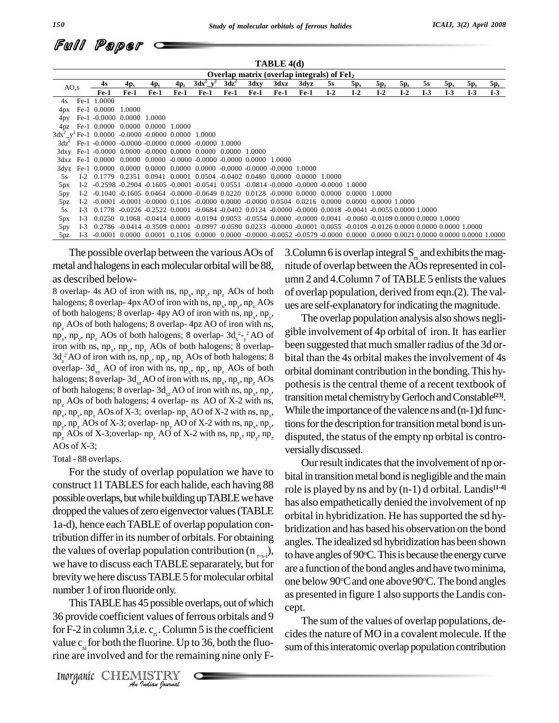| Full Paper <i>c</i> |  |
|---------------------|--|
|                     |  |

|                                                      |         | TABLE 4(d)                                                       |        |        |        |                                                                                                                                                                        |         |        |        |        |        |        |                      |        |       |        |        |        |  |
|------------------------------------------------------|---------|------------------------------------------------------------------|--------|--------|--------|------------------------------------------------------------------------------------------------------------------------------------------------------------------------|---------|--------|--------|--------|--------|--------|----------------------|--------|-------|--------|--------|--------|--|
| Overlap matrix (overlap integrals) of $\text{FeI}_2$ |         |                                                                  |        |        |        |                                                                                                                                                                        |         |        |        |        |        |        |                      |        |       |        |        |        |  |
| AO,s                                                 |         | 4s                                                               | $4p_x$ | $4p_y$ | $4p_z$ | $3dx^2$ $y^2$                                                                                                                                                          | $3dz^2$ | 3dxy   | 3dxz   | 3dyz   | 5s     | $5p_x$ | $5p_y$               | $5p_z$ | 5s    | $5p_x$ | $5p_y$ | $5p_z$ |  |
|                                                      |         | $Fe-1$                                                           | $Fe-1$ | $Fe-1$ | $Fe-1$ | $Fe-1$                                                                                                                                                                 | $Fe-1$  | $Fe-1$ | $Fe-1$ | $Fe-1$ | $I-2$  | $I-2$  | $I-2$                | $I-2$  | $I-3$ | $I-3$  | $I-3$  | $I-3$  |  |
|                                                      | 4s Fe-1 | 1.0000                                                           |        |        |        |                                                                                                                                                                        |         |        |        |        |        |        |                      |        |       |        |        |        |  |
| 4px                                                  | $Fe-1$  | 0.0000                                                           | 1.0000 |        |        |                                                                                                                                                                        |         |        |        |        |        |        |                      |        |       |        |        |        |  |
| 4py                                                  |         | Fe-1 -0.0000 0.0000 1.0000                                       |        |        |        |                                                                                                                                                                        |         |        |        |        |        |        |                      |        |       |        |        |        |  |
| 4 <sub>pz</sub>                                      |         | Fe-1 0.0000 0.0000 0.0000 1.0000                                 |        |        |        |                                                                                                                                                                        |         |        |        |        |        |        |                      |        |       |        |        |        |  |
|                                                      |         | $3dx^2$ y <sup>2</sup> Fe-1 0.0000 -0.0000 -0.0000 0.0000 1.0000 |        |        |        |                                                                                                                                                                        |         |        |        |        |        |        |                      |        |       |        |        |        |  |
|                                                      |         |                                                                  |        |        |        | $3dz^2$ Fe-1 -0.0000 -0.0000 -0.0000 0.0000 -0.0000 1.0000                                                                                                             |         |        |        |        |        |        |                      |        |       |        |        |        |  |
|                                                      |         |                                                                  |        |        |        | 3dxy Fe-1 -0.0000 0.0000 -0.0000 0.0000 0.0000 0.0000 1.0000                                                                                                           |         |        |        |        |        |        |                      |        |       |        |        |        |  |
|                                                      |         |                                                                  |        |        |        | 3dxz Fe-1 0.0000 0.0000 0.0000 -0.0000 -0.0000 -0.0000 0.0000                                                                                                          |         |        | 1.0000 |        |        |        |                      |        |       |        |        |        |  |
|                                                      |         | 3dyz Fe-1 0.0000                                                 |        |        |        | $0.0000$ $0.0000$ $0.0000$ $0.0000$ $-0.0000$ $-0.0000$ $-0.0000$ $1.0000$                                                                                             |         |        |        |        |        |        |                      |        |       |        |        |        |  |
| 5s                                                   | $I-2$   | 0.1779                                                           |        |        |        | $0.2351$ $0.0941$ $0.0001$ $0.0504$ $-0.0402$ $0.0480$ $0.0000$ $0.0000$                                                                                               |         |        |        |        | 1.0000 |        |                      |        |       |        |        |        |  |
| 5px                                                  |         |                                                                  |        |        |        | I-2 -0.2598 -0.2904 -0.1605 -0.0001 -0.0541 0.0551 -0.0814 -0.0000 -0.0000 -0.0000 1.0000                                                                              |         |        |        |        |        |        |                      |        |       |        |        |        |  |
| 5py                                                  |         |                                                                  |        |        |        | I-2 -0.1040 -0.1605 0.0464 -0.0000 -0.0649 0.0220 0.0128 -0.0000 0.0000 0.0000 0.0000 1.0000                                                                           |         |        |        |        |        |        |                      |        |       |        |        |        |  |
| 5pz                                                  | $1-2$   |                                                                  |        |        |        | $-0.0001$ $-0.0001$ $-0.0000$ $0.1106$ $-0.0000$ $0.0000$ $-0.0000$ $0.0504$ $0.0216$ $0.0000$                                                                         |         |        |        |        |        |        | 0.0000 0.0000 1.0000 |        |       |        |        |        |  |
| 5s                                                   | $I-3$   | 0.1778                                                           |        |        |        | $-0.0226$ $-0.2522$ $0.0001$ $-0.0684$ $-0.0402$ $0.0124$ $-0.0000$ $-0.0000$ $0.0018$ $-0.0041$ $-0.0055$ $0.0000$ $1.0000$                                           |         |        |        |        |        |        |                      |        |       |        |        |        |  |
| 5px                                                  | $1-3$   |                                                                  |        |        |        | $0.0250$ $0.1068$ -0.0414 0.0000 -0.0194 0.0053 -0.0554 0.0000 -0.0000 0.0041 -0.0060 -0.0109 0.0000 0.0000 1.0000                                                     |         |        |        |        |        |        |                      |        |       |        |        |        |  |
| 5py                                                  | $I-3$   |                                                                  |        |        |        | $0.2786 - 0.0414 - 0.3509 - 0.0001 - 0.0997 - 0.0590 - 0.0233 - 0.0000 - 0.0001 - 0.0055 - 0.0109 - 0.0126 - 0.0000 - 0.0000 - 0.0000 - 0.0000$                        |         |        |        |        |        |        |                      |        |       |        |        |        |  |
| 5pz                                                  | $I-3$   |                                                                  |        |        |        | $-0.0001$ $0.0000$ $0.0001$ $0.1106$ $0.0000$ $0.0000$ $-0.0000$ $-0.0052$ $-0.0579$ $-0.0000$ $0.0000$ $0.0000$ $0.0000$ $0.0021$ $0.0000$ $0.0000$ $0.0000$ $1.0000$ |         |        |        |        |        |        |                      |        |       |        |        |        |  |

The possible overlap between the variousAOs of metal and halogens in each molecular orbital will be 88, nitude of overlap between the AOs represented in colas described below-

8 overlap- 4s AO of iron with ns,  $np_x$ ,  $np_y$ ,  $np_z$  AOs of both of overlaphalogens; 8 overlap- 4px AO of iron with ns,  $np_x$ ,  $np_y$ ,  $np_z$  AOs ues of both halogens; 8 overlap- 4py AO of iron with ns,  $np_x$ ,  $np_y$ , np<sub>z</sub> AOs of both halogens; 8 overlap- 4pz AO of iron with ns, np<sub>z</sub>, np<sub>z</sub>, p<sub>y</sub>, np<sub>z</sub> AOs of both halogens; 8 overlap- 3d<sub>x<sup>2</sup>-y</sub><sup>2</sup> AO of gible i iron with ns,  $np_x$ ,  $np_y$ ,  $np_z$ iron with ns, np<sub>x</sub>, np<sub>x</sub>, np<sub>z</sub> AOs of both halogens; 8 overlap-<br>3d<sub>z</sub><sup>2</sup>AO of iron with ns, np<sub>x</sub>, np<sub>x</sub>, np<sub>z</sub>, AOs of both halogens; 8 bital overlap-  $3d_{xy}$  AO of iron with ns,  $np_x$ ,  $np_y$ ,  $np_z$  AOs of both orbita halogens; 8 overlap-  $3d_{xz}AO$  of iron with ns,  $np_x, np_y, np_zAOs$ of both halogens; 8 overlap-  $3d_{yz}$  AO of iron with ns, np<sub>x</sub>, np<sub>y</sub>,  $\frac{P}{4\pi}$ np<sub>z</sub> AOs of both halogens; 4 overlap- ns AO of X-2 with ns,  $\ln p_x$ ,  $np_y$ ,  $np_z$  AOs of X-3; overlap-  $np_x$  AO of X-2 with ns,  $np_x$ , W  $np_y$ ,  $np_z$  AOs of X-3; overlap- $np_y$  AO of X-2 with ns,  $np_x$ ,  $np_y$ , ti  $np_z$  AOs of X-3; overlap-  $np_z$  AO of X-2 with ns,  $np_x$ ,  $np_y$ ,  $np_z$  d AOs of X-3;

Total - 88 overlaps.

For the study of overlap population we have to construct 11TABLES for each halide, each having 88 possible overlaps, but while building up TABLE we have dropped the values of zero eigenvector values (TABLE 1a-d), hence eachTABLE of overlap population contribution differin its number of orbitals. For obtaining the values of overlap population contribution ( $n_{r-s-i}$ ), we have to discuss each TABLE separarately, but for brevity we here discuss TABLE 5 for molecular orbital number 1 of iron fluoride only.

This TABLE has 45 possible overlaps, out of which cept. *Indian Indian*<br> *In Indian Indian*<br> *In column 3,i.e.*  $c_n$ . Column 5 is the coeficient values of ferrous orbitals<br>
or F-2 in column 3,i.e.  $c_n$ . Column 5 is the coeficient<br> *Inorganic* CHEMISTRY  $\frac{36}{2}$  provide coefficient values of ferrous orbitals and 9 for F-2 in column 3, i.e.  $c_{\text{r}}$ . Column 5 is the coefficient value  $c_{si}$  for both the fluorine. Up to 36, both the fluorine are involved and for the remaining nine only F-

3. Column 6 is overlap integral  $S_{\rm rs}$  and exhibits the magumn 2 and 4. Column 7 of TABLE 5 enlists the values of overlap population, derived from eqn.(2). The val ues are self-explanatory for indicating the magnitude.

, While the importance of the valence  $ns$  and  $(n-1)d$  func-, tions for the description for transition metal bond is un-The overlap population analysis also shows negli gible involvement of 4p orbital of iron. It has earlier been suggested that much smaller radius of the 3d orbital than the 4s orbital makes the involvement of 4s orbital dominant contribution in the bonding.This hy pothesis is the central theme of a recent textbook of transition metal chemistry by Gerloch and Constable<sup>[23]</sup>. disputed, the status of the empty np orbital is contro versiallydiscussed.

Our result indicates that the involvement of np orbital in transition metal bond is negligible and the main role is played by ns and by (n-1) d orbital. Landis **[1-4]** has also empathetically denied the involvement of np orbital in hybridization. He has supported the sd hybridization and has based his observation on the bond angles.The idealized sd hybridization has been shown to have angles of 90°C. This is because the energy curve are a function of the bond angles and have two minima, one below 90°C and one above 90°C. The bond angles as presented in figure 1 also supports the Landis con-

The sum of the values of overlap populations, decides the nature of MO in a covalent molecule. If the sum of this interatomic overlap population contribution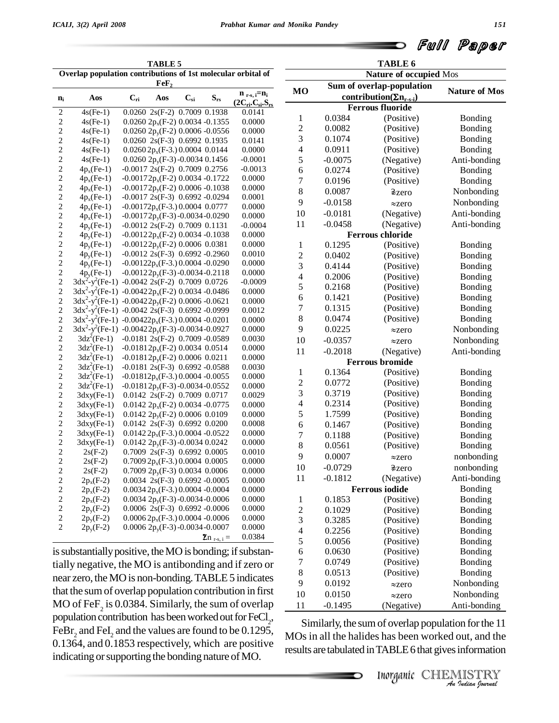Full Paper

| <b>TABLE 5</b>                                                                   |                                                                     |          |                                             |          |                  |                           |  |  |
|----------------------------------------------------------------------------------|---------------------------------------------------------------------|----------|---------------------------------------------|----------|------------------|---------------------------|--|--|
| Overlap population contributions of 1st molecular orbital of<br>$\mathbf{FeF}_2$ |                                                                     |          |                                             |          |                  |                           |  |  |
| $n_i$                                                                            | Aos                                                                 | $C_{ri}$ | Aos                                         | $C_{si}$ | $S_{rs}$         | $n_{r-s, i} = n_i$        |  |  |
|                                                                                  |                                                                     |          |                                             |          |                  | $(2C_{ri}.C_{si}.S_{rs})$ |  |  |
| $\overline{\mathbf{c}}$                                                          | $4s(Fe-1)$                                                          |          | 0.0260 2s(F-2) 0.7009 0.1938                |          |                  | 0.0141                    |  |  |
| $\overline{\mathbf{c}}$                                                          | $4s(Fe-1)$                                                          |          | $0.0260 2p_x(F-2) 0.0034 -0.1355$           |          |                  | 0.0000                    |  |  |
| $\overline{c}$                                                                   | $4s(Fe-1)$                                                          |          | 0.0260 2 $p_y$ (F-2) 0.0006 -0.0556         |          |                  | 0.0000                    |  |  |
| $\overline{c}$                                                                   | $4s(Fe-1)$                                                          |          | 0.0260 2s(F-3) 0.6992 0.1935                |          |                  | 0.0141                    |  |  |
| $\overline{c}$                                                                   | $4s(Fe-1)$                                                          |          | $0.02602p_x(F-3.)0.00040.0144$              |          |                  | 0.0000                    |  |  |
| $\overline{c}$                                                                   | $4s(Fe-1)$                                                          |          | 0.0260 2p <sub>y</sub> (F-3) -0.0034 0.1456 |          |                  | $-0.0001$                 |  |  |
| $\overline{c}$                                                                   | $4p_x(Fe-1)$                                                        |          | $-0.0017$ 2s(F-2) 0.7009 0.2756             |          |                  | $-0.0013$                 |  |  |
| $\overline{c}$                                                                   | $4p_x(Fe-1)$                                                        |          | $-0.00172p_x(F-2)$ 0.0034 $-0.1722$         |          |                  | 0.0000                    |  |  |
| $\overline{\mathbf{c}}$                                                          | $4p_x(Fe-1)$                                                        |          | $-0.00172p_y(F-2)$ 0.0006 -0.1038           |          |                  | 0.0000                    |  |  |
| $\overline{\mathbf{c}}$                                                          | $4p_x(Fe-1)$                                                        |          | $-0.0017$ 2s(F-3) 0.6992 -0.0294            |          |                  | 0.0001                    |  |  |
| $\overline{c}$                                                                   | $4p_x(Fe-1)$                                                        |          | $-0.00172p_x(F-3.)0.00040.0777$             |          |                  | 0.0000                    |  |  |
| $\overline{\mathbf{c}}$                                                          | $4p_x(Fe-1)$                                                        |          | $-0.00172p_v(F-3) - 0.0034 - 0.0290$        |          |                  | 0.0000                    |  |  |
| $\overline{c}$                                                                   | $4p_v(Fe-1)$                                                        |          | $-0.0012$ 2s(F-2) 0.7009 0.1131             |          |                  | $-0.0004$                 |  |  |
| $\overline{c}$                                                                   | $4p_v(Fe-1)$                                                        |          | $-0.00122p_x(F-2)$ 0.0034 -0.1038           |          |                  | 0.0000                    |  |  |
| $\overline{c}$                                                                   | $4p_v(Fe-1)$                                                        |          | $-0.00122p_v(F-2)$ 0.0006 0.0381            |          |                  | 0.0000                    |  |  |
| $\overline{\mathbf{c}}$                                                          | $4p_v(Fe-1)$                                                        |          | $-0.0012$ 2s(F-3) 0.6992 -0.2960            |          |                  | 0.0010                    |  |  |
| $\overline{\mathbf{c}}$                                                          | $4p_v(Fe-1)$                                                        |          | $-0.00122p_x(F-3.)0.0004 -0.0290$           |          |                  | 0.0000                    |  |  |
| $\overline{\mathbf{c}}$                                                          | $4p_v(Fe-1)$                                                        |          | $-0.00122p_y(F-3) - 0.0034 - 0.2118$        |          |                  | 0.0000                    |  |  |
| $\overline{c}$                                                                   | $3dx^2 - y^2$ (Fe-1)                                                |          | $-0.0042$ 2s(F-2) 0.7009 0.0726             |          |                  | $-0.0009$                 |  |  |
| $\overline{\mathbf{c}}$                                                          | $3dx^2 - y^2$ (Fe-1)                                                |          | $-0.00422p_x(F-2)$ 0.0034 -0.0486           |          |                  | 0.0000                    |  |  |
| $\overline{\mathbf{c}}$                                                          | $3dx^2-y^2$ (Fe-1)                                                  |          | $-0.00422p_v(F-2)$ 0.0006 $-0.0621$         |          |                  | 0.0000                    |  |  |
| $\overline{c}$                                                                   | $3dx^2-y^2$ (Fe-1) -0.0042 2s(F-3) 0.6992 -0.0999                   |          |                                             |          |                  | 0.0012                    |  |  |
| $\overline{c}$                                                                   | $3dx^{2}-y^{2}$ (Fe-1) -0.00422p <sub>x</sub> (F-3.) 0.0004 -0.0201 |          |                                             |          |                  | 0.0000                    |  |  |
| $\overline{\mathbf{c}}$                                                          | $3dx^2-y^2$ (Fe-1)                                                  |          | $-0.00422p_v(F-3) - 0.0034 - 0.0927$        |          |                  | 0.0000                    |  |  |
| $\overline{c}$                                                                   | $3dz^2$ (Fe-1)                                                      |          | $-0.0181$ 2s(F-2) 0.7009 $-0.0589$          |          |                  | 0.0030                    |  |  |
| $\overline{\mathbf{c}}$                                                          | $3dz^2$ (Fe-1)                                                      |          | $-0.01812p_x(F-2)$ 0.0034 0.0514            |          |                  | 0.0000                    |  |  |
| $\overline{\mathbf{c}}$                                                          | $3dz^2$ (Fe-1)                                                      |          | $-0.01812p_y(F-2)$ 0.0006 0.0211            |          |                  | 0.0000                    |  |  |
| $\overline{\mathbf{c}}$                                                          | $3dz^2$ (Fe-1)                                                      |          | $-0.0181$ 2s(F-3) 0.6992 -0.0588            |          |                  | 0.0030                    |  |  |
| $\overline{c}$                                                                   | $3dz^2$ (Fe-1)                                                      |          | $-0.01812p_x(F-3.)0.0004 -0.0055$           |          |                  | 0.0000                    |  |  |
| $\overline{c}$                                                                   | $3dz^2$ (Fe-1)                                                      |          | $-0.01812p_y(F-3) - 0.0034 - 0.0552$        |          |                  | 0.0000                    |  |  |
| $\overline{c}$                                                                   | $3$ dxy(Fe-1)                                                       |          | 0.0142 2s(F-2) 0.7009 0.0717                |          |                  | 0.0029                    |  |  |
| $\overline{c}$                                                                   | $3$ dxy(Fe-1)                                                       |          | $0.0142 2p_x(F-2) 0.0034 -0.0775$           |          |                  | 0.0000                    |  |  |
| $\overline{c}$                                                                   | $3$ dxy(Fe-1)                                                       |          | $0.0142 2p_y(F-2) 0.0006 0.0109$            |          |                  | 0.0000                    |  |  |
| $\overline{c}$                                                                   | $3$ dxy(Fe-1)                                                       |          | 0.0142 2s(F-3) 0.6992 0.0200                |          |                  | 0.0008                    |  |  |
| $\overline{c}$                                                                   | $3$ dxy(Fe-1)                                                       |          | $0.01422p_x(F-3.)0.0004 -0.0522$            |          |                  | 0.0000                    |  |  |
| $\overline{\mathbf{c}}$                                                          | $3$ dxy $(Fe-1)$                                                    |          | 0.0142 $2p_y(F-3) - 0.0034 0.0242$          |          |                  | 0.0000                    |  |  |
| $\overline{c}$                                                                   | $2s(F-2)$                                                           |          | 0.7009 2s(F-3) 0.6992 0.0005                |          |                  | 0.0010                    |  |  |
| $\overline{c}$                                                                   | $2s(F-2)$                                                           |          | $0.70092p_x(F-3.)0.00040.0005$              |          |                  | 0.0000                    |  |  |
| $\overline{\mathbf{c}}$                                                          | $2s(F-2)$                                                           |          | 0.7009 $2p_y(F-3)$ 0.0034 0.0006            |          |                  | 0.0000                    |  |  |
| $\overline{c}$                                                                   | $2p_x(F-2)$                                                         |          | $0.0034$ 2s(F-3) $0.6992$ -0.0005           |          |                  | 0.0000                    |  |  |
| $\overline{\mathbf{c}}$                                                          | $2p_x(F-2)$                                                         |          | $0.00342p_x(F-3.)0.0004 -0.0004$            |          |                  | 0.0000                    |  |  |
| $\overline{c}$                                                                   | $2p_x(F-2)$                                                         |          | 0.0034 $2p_y(F-3) - 0.0034 - 0.0006$        |          |                  | 0.0000                    |  |  |
| $\overline{c}$                                                                   | $2p_v(F-2)$                                                         |          | $0.0006$ 2s(F-3) $0.6992$ -0.0006           |          |                  | 0.0000                    |  |  |
| $\overline{c}$                                                                   | $2p_y(F-2)$                                                         |          | $0.00062p_x(F-3.)0.0004 - 0.0006$           |          |                  | 0.0000                    |  |  |
| $\overline{c}$                                                                   | $2p_y(F-2)$                                                         |          | 0.0006 $2p_y(F-3) - 0.0034 - 0.0007$        |          |                  | 0.0000                    |  |  |
|                                                                                  |                                                                     |          |                                             |          |                  |                           |  |  |
|                                                                                  |                                                                     |          |                                             |          | $\sum_{r-s,i} =$ | 0.0384                    |  |  |

is substantially positive, the MO is bonding; if substantially negative, the MO is antibonding and if zero or near zero, the MO is non-bonding. TABLE 5 indicates that the sumof overlap population contribution in first MO of Fe $F_2$  is 0.0384. Similarly, the sum of overlap  $\qquad \qquad \underline{\qquad 11}$ population contribution has been worked out for  $\mathrm{FeCl}_{2}$ , FeBr<sub>2</sub> and FeI<sub>2</sub> and the values are found to be 0.1295, MOs<br>0.1364, and 0.1853 respectively, which are positive indicating or supporting the bonding nature of MO.

|                          |           | <b>TABLE 6</b>                              |                      |
|--------------------------|-----------|---------------------------------------------|----------------------|
|                          |           | Nature of occupied Mos                      |                      |
| МO                       |           | Sum of overlap-population                   | <b>Nature of Mos</b> |
|                          |           | contribution( $\Sigma$ n <sub>r-s-i</sub> ) |                      |
|                          |           | <b>Ferrous fluoride</b>                     |                      |
| 1                        | 0.0384    | (Positive)                                  | Bonding              |
| $\overline{c}$           | 0.0082    | (Positive)                                  | Bonding              |
| 3                        | 0.1074    | (Positive)                                  | Bonding              |
| 4                        | 0.0911    | (Positive)                                  | Bonding              |
| 5                        | $-0.0075$ | (Negative)                                  | Anti-bonding         |
| 6                        | 0.0274    | (Positive)                                  | Bonding              |
| $\overline{7}$           | 0.0196    | (Positive)                                  | Bonding              |
| 8                        | 0.0087    | ≉zero                                       | Nonbonding           |
| 9                        | $-0.0158$ | $\approx$ zero                              | Nonbonding           |
| 10                       | $-0.0181$ | (Negative)                                  | Anti-bonding         |
| 11                       | $-0.0458$ | (Negative)                                  | Anti-bonding         |
|                          |           | <b>Ferrous chloride</b>                     |                      |
| 1                        | 0.1295    | (Positive)                                  | Bonding              |
| $\overline{c}$           | 0.0402    | (Positive)                                  | Bonding              |
| 3                        | 0.4144    | (Positive)                                  | Bonding              |
| 4                        | 0.2006    | (Positive)                                  | Bonding              |
| 5                        | 0.2168    | (Positive)                                  | Bonding              |
| 6                        | 0.1421    | (Positive)                                  | Bonding              |
| 7                        | 0.1315    | (Positive)                                  | Bonding              |
| 8                        | 0.0474    | (Positive)                                  | Bonding              |
| 9                        | 0.0225    | $\approx$ zero                              | Nonbonding           |
| 10                       | $-0.0357$ | $\approx$ zero                              | Nonbonding           |
| 11                       | $-0.2018$ | (Negative)                                  | Anti-bonding         |
|                          |           | <b>Ferrous bromide</b>                      |                      |
| 1                        | 0.1364    | (Positive)                                  | Bonding              |
| $\overline{c}$           | 0.0772    | (Positive)                                  | Bonding              |
| 3                        | 0.3719    | (Positive)                                  | Bonding              |
| $\overline{\mathcal{L}}$ | 0.2314    | (Positive)                                  | Bonding              |
| 5                        | 1.7599    | (Positive)                                  | Bonding              |
| 6                        | 0.1467    | (Positive)                                  | Bonding              |
| 7                        | 0.1188    | (Positive)                                  | Bonding              |
| 8                        | 0.0561    | (Positive)                                  | Bonding              |
| 9                        | 0.0007    |                                             | nonbonding           |
|                          |           | $\approx$ zero                              |                      |
| 10                       | $-0.0729$ | 2 <sub>zero</sub>                           | nonbonding           |
| 11                       | $-0.1812$ | (Negative)                                  | Anti-bonding         |
|                          |           | <b>Ferrous iodide</b>                       | Bonding              |
| 1                        | 0.1853    | (Positive)                                  | Bonding              |
| $\overline{c}$           | 0.1029    | (Positive)                                  | Bonding              |
| 3                        | 0.3285    | (Positive)                                  | Bonding              |
| 4                        | 0.2256    | (Positive)                                  | Bonding              |
| 5                        | 0.0056    | (Positive)                                  | Bonding              |
| 6                        | 0.0630    | (Positive)                                  | Bonding              |
| $\overline{7}$           | 0.0749    | (Positive)                                  | Bonding              |
| 8                        | 0.0513    | (Positive)                                  | Bonding              |
| 9                        | 0.0192    | $\approx$ zero                              | Nonbonding           |
| 10                       | 0.0150    | $\approx$ zero                              | Nonbonding           |
| 11                       | $-0.1495$ | (Negative)                                  | Anti-bonding         |

(Negative) Anti-bonding<br>
of overlap population for the 11<br> *i* has been worked out, and the<br> **IABLE 6 that gives information**<br> **INOTER INSTRY** Similarly, the sum of overlap population for the 11 MOs in all the halides has been worked out, and the results are tabulated in TABLE 6 that gives information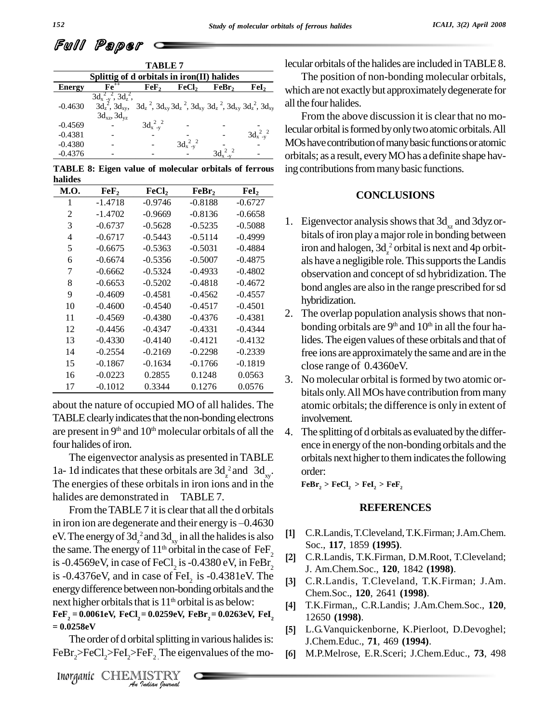# Full Paper

|               |                                                                                | TABLE 7      |                   |                                                                                                 |                   |  |
|---------------|--------------------------------------------------------------------------------|--------------|-------------------|-------------------------------------------------------------------------------------------------|-------------------|--|
|               | Splittig of d orbitals in iron(II) halides                                     |              |                   |                                                                                                 |                   |  |
| <b>Energy</b> | $Fe++$                                                                         | $\bf{FeF_2}$ | FeCl <sub>2</sub> | FeBr,                                                                                           | FeI,              |  |
| $-0.4630$     | $3d_{x-y}^2$ , $3d_{z}^2$ ,<br>$3d_z^2$ , $3d_{xy}$ ,<br>$3d_{xz}$ , $3d_{yz}$ |              |                   | $3d_z^2$ , $3d_{xy}^2$ , $3d_z^2$ , $3d_{xy}^2$ , $3d_z^2$ , $3d_{xy}^2$ , $3d_z^2$ , $3d_{xy}$ |                   |  |
| $-0.4569$     |                                                                                | $3d_{x-y}^2$ |                   |                                                                                                 |                   |  |
| $-0.4381$     |                                                                                |              |                   |                                                                                                 | $3d_{x}^{2}v^{2}$ |  |
| $-0.4380$     |                                                                                |              | $3d_{x-y}^2$      |                                                                                                 |                   |  |
| $-0.4376$     |                                                                                |              |                   |                                                                                                 |                   |  |

**TABLE 8: Eigen value of molecular orbitals of ferrous halides**

| M.O. | FeF,      | FeCl <sub>2</sub> | FeBr <sub>2</sub> | FeI <sub>2</sub> |
|------|-----------|-------------------|-------------------|------------------|
| 1    | -1.4718   | $-0.9746$         | $-0.8188$         | $-0.6727$        |
| 2    | $-1.4702$ | $-0.9669$         | $-0.8136$         | $-0.6658$        |
| 3    | $-0.6737$ | $-0.5628$         | $-0.5235$         | $-0.5088$        |
| 4    | $-0.6717$ | $-0.5443$         | $-0.5114$         | $-0.4999$        |
| 5    | $-0.6675$ | $-0.5363$         | $-0.5031$         | $-0.4884$        |
| 6    | $-0.6674$ | $-0.5356$         | $-0.5007$         | $-0.4875$        |
| 7    | $-0.6662$ | $-0.5324$         | $-0.4933$         | $-0.4802$        |
| 8    | $-0.6653$ | $-0.5202$         | $-0.4818$         | $-0.4672$        |
| 9    | $-0.4609$ | $-0.4581$         | $-0.4562$         | $-0.4557$        |
| 10   | $-0.4600$ | $-0.4540$         | $-0.4517$         | $-0.4501$        |
| 11   | $-0.4569$ | $-0.4380$         | $-0.4376$         | $-0.4381$        |
| 12   | $-0.4456$ | $-0.4347$         | $-0.4331$         | $-0.4344$        |
| 13   | $-0.4330$ | $-0.4140$         | $-0.4121$         | $-0.4132$        |
| 14   | $-0.2554$ | $-0.2169$         | $-0.2298$         | $-0.2339$        |
| 15   | $-0.1867$ | $-0.1634$         | $-0.1766$         | $-0.1819$        |
| 16   | $-0.0223$ | 0.2855            | 0.1248            | 0.0563           |
| 17   | $-0.1012$ | 0.3344            | 0.1276            | 0.0576           |

about the nature of occupied MO of all halides. The TABLE clearly indicates that the non-bonding electrons are present in  $9<sup>th</sup>$  and  $10<sup>th</sup>$  molecular orbitals of all the 4. The four halides of iron.

The eigenvector analysis as presented inTABLE 1a-1d indicates that these orbitals are  $3d_{z}^{2}$  and  $3d_{xy}$ . The energies of these orbitals in iron ions and in the halides are demonstrated in TABLE 7.

next higher orbitals that is  $11<sup>th</sup>$  orbital is as below: *Indian Indian IS 11 Orbital IS as oclowing*<br> *Indian IS as oclowing*<br> *Inorganic CHEMISTRY <i>Au matal barrange and matal invarious* of the Dr.  $\geq$ FeCl<sub>2</sub>>FeL<sub>2</sub>>FeF<sub>2</sub>. The eigenvalues of the *Inorganic CHEMISTR* From the TABLE 7 it is clear that all the d orbitals in iron ion are degenerate and their energy is  $-0.4630$ eV. The energy of  $3d<sub>z</sub><sup>2</sup>$  and  $3d<sub>xy</sub>$  in all the halides is also [1] C. the same. The energy of  $11<sup>th</sup>$  orbital in the case of FeF<sub>2</sub> is -0.4569eV, in case of FeCl<sub>2</sub> is -0.4380 eV, in FeBr<sub>2</sub> <sup>[2]</sup> is -0.4376eV, and in case of FeI<sub>2</sub> is -0.4381eV. The  $\frac{3}{131}$ energy difference between non-bonding orbitals and the  $\text{FeF}_2 = 0.0061 \text{eV}, \text{FeCl}_2 = 0.0259 \text{eV}, \text{FeBr}_2 = 0.0263 \text{eV}, \text{FeI}_2$ **= 0.0258eV**

The order of d orbital splitting in various halides is:  $FeBr_2 > FeCl_2 > FeI_2 > FeF_2$  The eigenvalues of the mo-

lecular orbitals of the halides are included in TABLE 8.

 $, 3d_{xy}$  all the four halides. The position of non-bonding molecular orbitals, which are not exactly but approximately degenerate for

 $_{2}$  lecular orbital is formed by only two atomic orbitals. All From the above discussion it is clear that no mo-MOs have contribution of many basic functions or atomic orbitals; as a result, everyMOhas a definite shape having contributions from many basic functions.

### **CONCLUSIONS**

- 1. Eigenvector analysis shows that  $3d_{xz}$  and  $3dyz$  orbitals of iron play a major role in bonding between iron and halogen,  $3d<sub>z</sub><sup>2</sup>$  orbital is next and 4p orbit-<br>als have a negligible role. This supports the Landis observation and concept of sd hybridization. The bond angles are also in the range prescribed forsd hybridization.
- 2. The overlap population analysis shows that nonbonding orbitals are  $9<sup>th</sup>$  and  $10<sup>th</sup>$  in all the four halides. The eigen values of these orbitals and that of free ions are approximately the same and are in the close range of 0.4360eV.
- 3. No molecular orbital isformed by two atomic or bitals only.All MOs have contribution frommany atomic orbitals; the difference is only in extent of involvement.
- 4. The splitting of d orbitals as evaluated by the difference in energy of the non-bonding orbitals and the orbitals next higher to them indicates the following order:

 $\text{FeBr}_2 > \text{FeCl}_2 > \text{FeI}_2 > \text{FeF}_2$ 

## **REFERENCES**

- [1] C.R.Landis, T.Cleveland, T.K.Firman; J.Am.Chem. Soc., **117**, 1859 **(1995)**. **[2]**
- 2 C.R.Landis, T.K.Firman, D.M.Root, T.Cleveland; J. Am.Chem.Soc., **120**, 1842 **(1998)**. **[3]**
	- C.R.Landis, T.Cleveland, T.K.Firman; J.Am. Chem.Soc., **120**, 2641 **(1998)**. **[4]**
	- T.K.Firman,, C.R.Landis; J.Am.Chem.Soc., **120**, 12650 **(1998)**. **[5]**
	- L.G.Vanquickenborne, K.Pierloot, D.Devoghel; J.Chem.Educ., **71**, 469 **(1994)**. **[6]**
	- M.P.Melrose, E.R.Sceri; J.Chem.Educ., **73**, 498